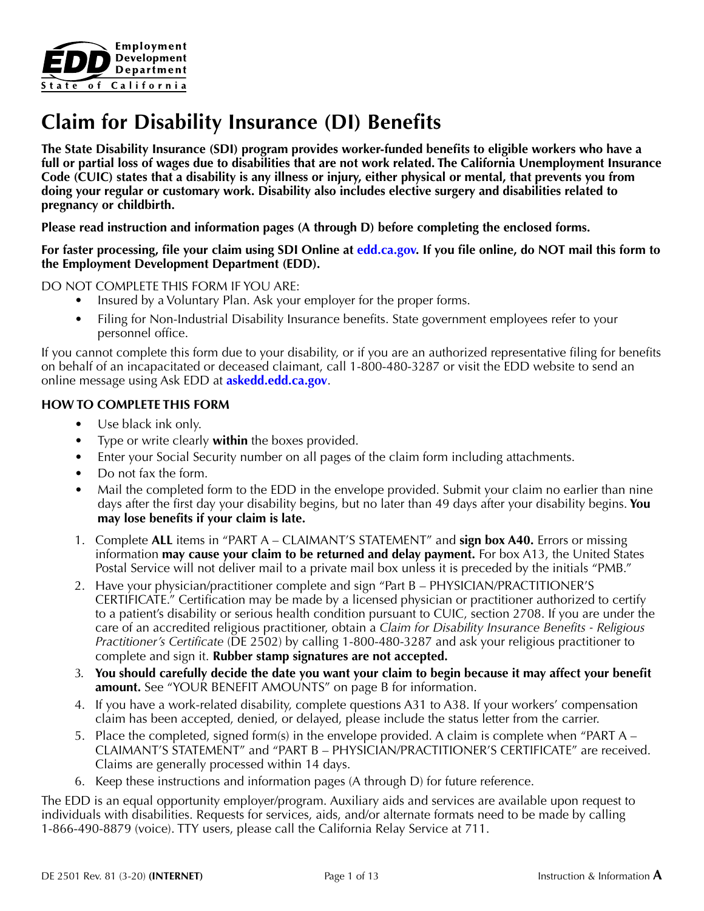

# **Claim for Disability Insurance (DI) Benefits**

**The State Disability Insurance (SDI) program provides worker-funded benefits to eligible workers who have a full or partial loss of wages due to disabilities that are not work related. The California Unemployment Insurance Code (CUIC) states that a disability is any illness or injury, either physical or mental, that prevents you from doing your regular or customary work. Disability also includes elective surgery and disabilities related to pregnancy or childbirth.**

**Please read instruction and information pages (A through D) before completing the enclosed forms.**

**For faster processing, file your claim using SDI Online at [edd.ca.gov.](http://www.edd.ca.gov) If you file online, do NOT mail this form to the Employment Development Department (EDD).**

### DO NOT COMPLETE THIS FORM IF YOU ARE:

- Insured by a Voluntary Plan. Ask your employer for the proper forms.
- Filing for Non-Industrial Disability Insurance benefits. State government employees refer to your personnel office.

If you cannot complete this form due to your disability, or if you are an authorized representative filing for benefits on behalf of an incapacitated or deceased claimant, call 1-800-480-3287 or visit the EDD website to send an online message using Ask EDD at **[askedd.edd.ca.gov](https://askedd.edd.ca.gov)**.

## **HOW TO COMPLETE THIS FORM**

- Use black ink only.
- Type or write clearly **within** the boxes provided.
- Enter your Social Security number on all pages of the claim form including attachments.
- Do not fax the form.
- Mail the completed form to the EDD in the envelope provided. Submit your claim no earlier than nine days after the first day your disability begins, but no later than 49 days after your disability begins. **You may lose benefits if your claim is late.**
- 1. Complete **ALL** items in "PART A CLAIMANT'S STATEMENT" and **sign box A40.** Errors or missing information **may cause your claim to be returned and delay payment.** For box A13, the United States Postal Service will not deliver mail to a private mail box unless it is preceded by the initials "PMB."
- 2. Have your physician/practitioner complete and sign "Part B PHYSICIAN/PRACTITIONER'S CERTIFICATE." Certification may be made by a licensed physician or practitioner authorized to certify to a patient's disability or serious health condition pursuant to CUIC, section 2708. If you are under the care of an accredited religious practitioner, obtain a *Claim for Disability Insurance Benefits - Religious Practitioner's Certificate* (DE 2502) by calling 1-800-480-3287 and ask your religious practitioner to complete and sign it. **Rubber stamp signatures are not accepted.**
- 3. **You should carefully decide the date you want your claim to begin because it may affect your benefit amount.** See "YOUR BENEFIT AMOUNTS" on page B for information.
- 4. If you have a work-related disability, complete questions A31 to A38. If your workers' compensation claim has been accepted, denied, or delayed, please include the status letter from the carrier.
- 5. Place the completed, signed form(s) in the envelope provided. A claim is complete when "PART A CLAIMANT'S STATEMENT" and "PART B – PHYSICIAN/PRACTITIONER'S CERTIFICATE" are received. Claims are generally processed within 14 days.
- 6. Keep these instructions and information pages (A through D) for future reference.

The EDD is an equal opportunity employer/program. Auxiliary aids and services are available upon request to individuals with disabilities. Requests for services, aids, and/or alternate formats need to be made by calling 1-866-490-8879 (voice). TTY users, please call the California Relay Service at 711.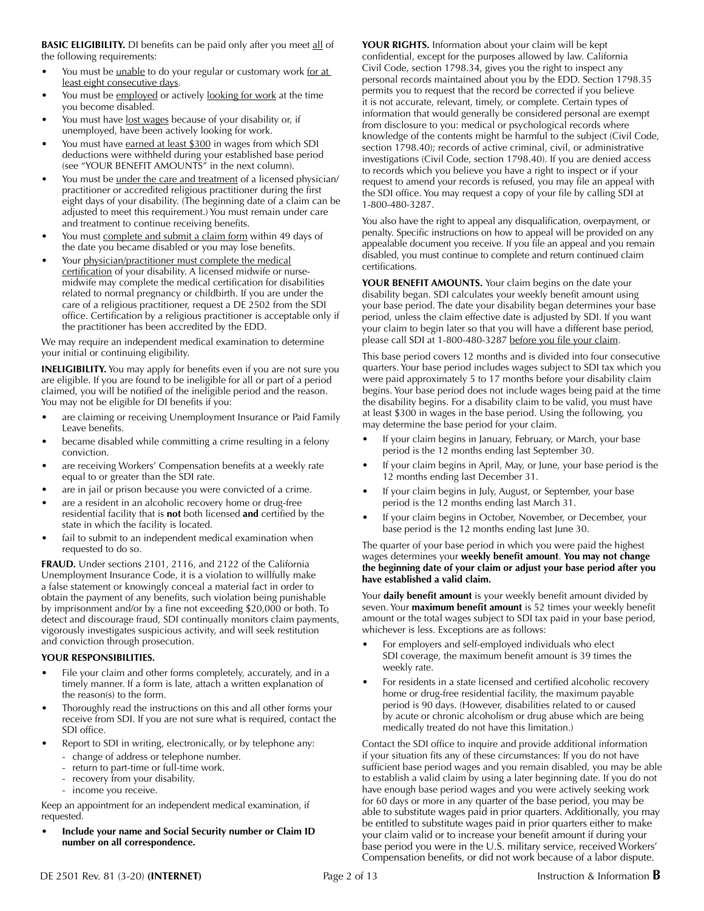**BASIC ELIGIBILITY.** DI benefits can be paid only after you meet all of the following requirements:

- You must be <u>unable</u> to do your regular or customary work <u>for at</u> least eight consecutive days.
- You must be employed or actively <u>looking for work</u> at the time you become disabled.
- You must have lost wages because of your disability or, if unemployed, have been actively looking for work.
- You must have earned at least \$300 in wages from which SDI deductions were withheld during your established base period (see "YOUR BENEFIT AMOUNTS" in the next column).
- You must be under the care and treatment of a licensed physician/ practitioner or accredited religious practitioner during the first eight days of your disability. (The beginning date of a claim can be adjusted to meet this requirement.) You must remain under care and treatment to continue receiving benefits.
- You must complete and submit a claim form within 49 days of the date you became disabled or you may lose benefits.
- Your physician/practitioner must complete the medical certification of your disability. A licensed midwife or nursemidwife may complete the medical certification for disabilities related to normal pregnancy or childbirth. If you are under the care of a religious practitioner, request a DE 2502 from the SDI office. Certification by a religious practitioner is acceptable only if the practitioner has been accredited by the EDD.

We may require an independent medical examination to determine your initial or continuing eligibility.

**INELIGIBILITY.** You may apply for benefits even if you are not sure you are eligible. If you are found to be ineligible for all or part of a period claimed, you will be notified of the ineligible period and the reason. You may not be eligible for DI benefits if you:

- are claiming or receiving Unemployment Insurance or Paid Family Leave benefits.
- became disabled while committing a crime resulting in a felony conviction.
- are receiving Workers' Compensation benefits at a weekly rate equal to or greater than the SDI rate.
- are in jail or prison because you were convicted of a crime.
- are a resident in an alcoholic recovery home or drug-free residential facility that is **not** both licensed **and** certified by the state in which the facility is located.
- fail to submit to an independent medical examination when requested to do so.

**FRAUD.** Under sections 2101, 2116, and 2122 of the California Unemployment Insurance Code, it is a violation to willfully make a false statement or knowingly conceal a material fact in order to obtain the payment of any benefits, such violation being punishable by imprisonment and/or by a fine not exceeding \$20,000 or both. To detect and discourage fraud, SDI continually monitors claim payments, vigorously investigates suspicious activity, and will seek restitution and conviction through prosecution.

#### **YOUR RESPONSIBILITIES.**

- File your claim and other forms completely, accurately, and in a timely manner. If a form is late, attach a written explanation of the reason(s) to the form.
- Thoroughly read the instructions on this and all other forms your receive from SDI. If you are not sure what is required, contact the SDI office.
- Report to SDI in writing, electronically, or by telephone any:
	- change of address or telephone number.
	- return to part-time or full-time work.
	- recovery from your disability.
	- income you receive.

Keep an appointment for an independent medical examination, if requested.

**• Include your name and Social Security number or Claim ID number on all correspondence.**

**YOUR RIGHTS.** Information about your claim will be kept confidential, except for the purposes allowed by law. California Civil Code, section 1798.34, gives you the right to inspect any personal records maintained about you by the EDD. Section 1798.35 permits you to request that the record be corrected if you believe it is not accurate, relevant, timely, or complete. Certain types of information that would generally be considered personal are exempt from disclosure to you: medical or psychological records where knowledge of the contents might be harmful to the subject (Civil Code, section 1798.40); records of active criminal, civil, or administrative investigations (Civil Code, section 1798.40). If you are denied access to records which you believe you have a right to inspect or if your request to amend your records is refused, you may file an appeal with the SDI office. You may request a copy of your file by calling SDI at 1-800-480-3287.

You also have the right to appeal any disqualification, overpayment, or penalty. Specific instructions on how to appeal will be provided on any appealable document you receive. If you file an appeal and you remain disabled, you must continue to complete and return continued claim certifications.

**YOUR BENEFIT AMOUNTS.** Your claim begins on the date your disability began. SDI calculates your weekly benefit amount using your base period. The date your disability began determines your base period, unless the claim effective date is adjusted by SDI. If you want your claim to begin later so that you will have a different base period, please call SDI at 1-800-480-3287 before you file your claim.

This base period covers 12 months and is divided into four consecutive quarters. Your base period includes wages subject to SDI tax which you were paid approximately 5 to 17 months before your disability claim begins. Your base period does not include wages being paid at the time the disability begins. For a disability claim to be valid, you must have at least \$300 in wages in the base period. Using the following, you may determine the base period for your claim.

- If your claim begins in January, February, or March, your base period is the 12 months ending last September 30.
- If your claim begins in April, May, or June, your base period is the 12 months ending last December 31.
- If your claim begins in July, August, or September, your base period is the 12 months ending last March 31.
- If your claim begins in October, November, or December, your base period is the 12 months ending last June 30.

#### The quarter of your base period in which you were paid the highest wages determines your **weekly benefit amount**. **You may not change the beginning date of your claim or adjust your base period after you have established a valid claim.**

Your **daily benefit amount** is your weekly benefit amount divided by seven. Your **maximum benefit amount** is 52 times your weekly benefit amount or the total wages subject to SDI tax paid in your base period, whichever is less. Exceptions are as follows:

- For employers and self-employed individuals who elect SDI coverage, the maximum benefit amount is 39 times the weekly rate.
- For residents in a state licensed and certified alcoholic recovery home or drug-free residential facility, the maximum payable period is 90 days. (However, disabilities related to or caused by acute or chronic alcoholism or drug abuse which are being medically treated do not have this limitation.)

Contact the SDI office to inquire and provide additional information if your situation fits any of these circumstances: If you do not have sufficient base period wages and you remain disabled, you may be able to establish a valid claim by using a later beginning date. If you do not have enough base period wages and you were actively seeking work for 60 days or more in any quarter of the base period, you may be able to substitute wages paid in prior quarters. Additionally, you may be entitled to substitute wages paid in prior quarters either to make your claim valid or to increase your benefit amount if during your base period you were in the U.S. military service, received Workers' Compensation benefits, or did not work because of a labor dispute.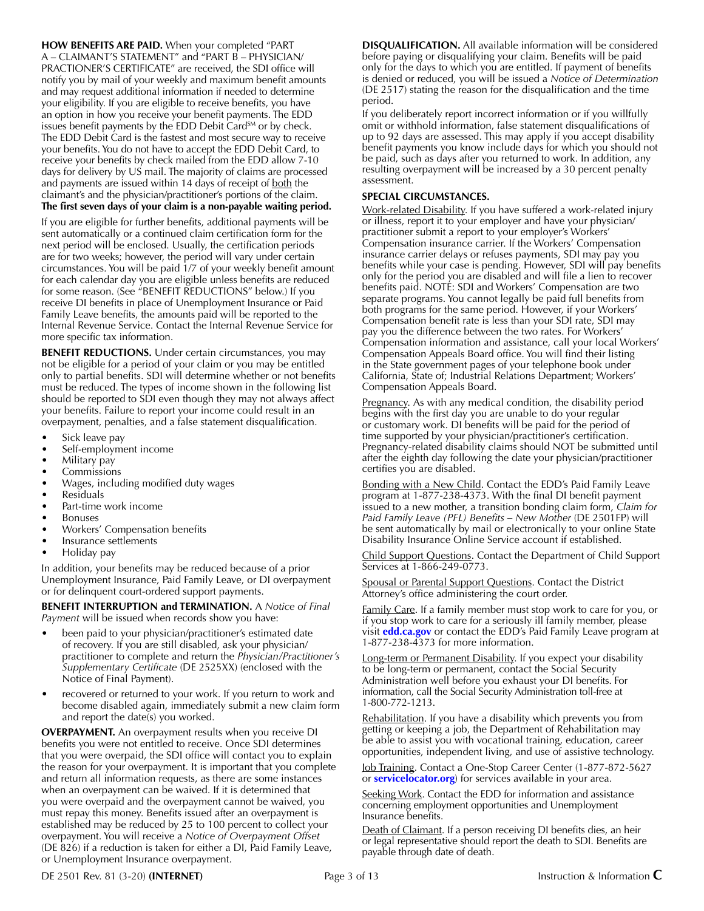**HOW BENEFITS ARE PAID.** When your completed "PART A – CLAIMANT'S STATEMENT" and "PART B – PHYSICIAN/ PRACTIONER'S CERTIFICATE" are received, the SDI office will notify you by mail of your weekly and maximum benefit amounts and may request additional information if needed to determine your eligibility. If you are eligible to receive benefits, you have an option in how you receive your benefit payments. The EDD issues benefit payments by the EDD Debit Card<sup>SM</sup> or by check. The EDD Debit Card is the fastest and most secure way to receive your benefits. You do not have to accept the EDD Debit Card, to receive your benefits by check mailed from the EDD allow 7-10 days for delivery by US mail. The majority of claims are processed and payments are issued within 14 days of receipt of both the claimant's and the physician/practitioner's portions of the claim. **The first seven days of your claim is a non-payable waiting period.**

If you are eligible for further benefits, additional payments will be sent automatically or a continued claim certification form for the next period will be enclosed. Usually, the certification periods are for two weeks; however, the period will vary under certain circumstances. You will be paid 1/7 of your weekly benefit amount for each calendar day you are eligible unless benefits are reduced for some reason. (See "BENEFIT REDUCTIONS" below.) If you receive DI benefits in place of Unemployment Insurance or Paid Family Leave benefits, the amounts paid will be reported to the Internal Revenue Service. Contact the Internal Revenue Service for more specific tax information.

**BENEFIT REDUCTIONS.** Under certain circumstances, you may not be eligible for a period of your claim or you may be entitled only to partial benefits. SDI will determine whether or not benefits must be reduced. The types of income shown in the following list should be reported to SDI even though they may not always affect your benefits. Failure to report your income could result in an overpayment, penalties, and a false statement disqualification.

- Sick leave pay
- Self-employment income
- Military pay
- Commissions
- Wages, including modified duty wages
- Residuals
- Part-time work income
- Bonuses
- Workers' Compensation benefits
- Insurance settlements
- Holiday pay

In addition, your benefits may be reduced because of a prior Unemployment Insurance, Paid Family Leave, or DI overpayment or for delinquent court-ordered support payments.

**BENEFIT INTERRUPTION and TERMINATION.** A *Notice of Final Payment* will be issued when records show you have:

- been paid to your physician/practitioner's estimated date of recovery. If you are still disabled, ask your physician/ practitioner to complete and return the *Physician/Practitioner's Supplementary Certificate* (DE 2525XX) (enclosed with the Notice of Final Payment).
- recovered or returned to your work. If you return to work and become disabled again, immediately submit a new claim form and report the date(s) you worked.

**OVERPAYMENT.** An overpayment results when you receive DI benefits you were not entitled to receive. Once SDI determines that you were overpaid, the SDI office will contact you to explain the reason for your overpayment. It is important that you complete and return all information requests, as there are some instances when an overpayment can be waived. If it is determined that you were overpaid and the overpayment cannot be waived, you must repay this money. Benefits issued after an overpayment is established may be reduced by 25 to 100 percent to collect your overpayment. You will receive a *Notice of Overpayment Offset* (DE 826) if a reduction is taken for either a DI, Paid Family Leave, or Unemployment Insurance overpayment.

**DISQUALIFICATION.** All available information will be considered before paying or disqualifying your claim. Benefits will be paid only for the days to which you are entitled. If payment of benefits is denied or reduced, you will be issued a *Notice of Determination* (DE 2517) stating the reason for the disqualification and the time period.

If you deliberately report incorrect information or if you willfully omit or withhold information, false statement disqualifications of up to 92 days are assessed. This may apply if you accept disability benefit payments you know include days for which you should not be paid, such as days after you returned to work. In addition, any resulting overpayment will be increased by a 30 percent penalty assessment.

#### **SPECIAL CIRCUMSTANCES.**

Work-related Disability. If you have suffered a work-related injury or illness, report it to your employer and have your physician/ practitioner submit a report to your employer's Workers' Compensation insurance carrier. If the Workers' Compensation insurance carrier delays or refuses payments, SDI may pay you benefits while your case is pending. However, SDI will pay benefits only for the period you are disabled and will file a lien to recover benefits paid. NOTE: SDI and Workers' Compensation are two separate programs. You cannot legally be paid full benefits from both programs for the same period. However, if your Workers' Compensation benefit rate is less than your SDI rate, SDI may pay you the difference between the two rates. For Workers' Compensation information and assistance, call your local Workers' Compensation Appeals Board office. You will find their listing in the State government pages of your telephone book under California, State of; Industrial Relations Department; Workers' Compensation Appeals Board.

Pregnancy. As with any medical condition, the disability period begins with the first day you are unable to do your regular or customary work. DI benefits will be paid for the period of time supported by your physician/practitioner's certification. Pregnancy-related disability claims should NOT be submitted until after the eighth day following the date your physician/practitioner certifies you are disabled.

Bonding with a New Child. Contact the EDD's Paid Family Leave program at 1-877-238-4373. With the final DI benefit payment issued to a new mother, a transition bonding claim form, *Claim for Paid Family Leave (PFL) Benefits – New Mother* (DE 2501FP) will be sent automatically by mail or electronically to your online State Disability Insurance Online Service account if established.

Child Support Questions. Contact the Department of Child Support Services at 1-866-249-0773.

Spousal or Parental Support Questions. Contact the District Attorney's office administering the court order.

Family Care. If a family member must stop work to care for you, or if you stop work to care for a seriously ill family member, please visit **[edd.ca.gov](http://www.edd.ca.gov)** or contact the EDD's Paid Family Leave program at 1-877-238-4373 for more information.

Long-term or Permanent Disability. If you expect your disability to be long-term or permanent, contact the Social Security Administration well before you exhaust your DI benefits. For information, call the Social Security Administration toll-free at 1-800-772-1213.

Rehabilitation. If you have a disability which prevents you from getting or keeping a job, the Department of Rehabilitation may be able to assist you with vocational training, education, career opportunities, independent living, and use of assistive technology.

Job Training. Contact a One-Stop Career Center (1-877-872-5627 or **[servicelocator.org](http://www.careeronestop.org/LocalHelp/service-locator.aspx)**) for services available in your area.

Seeking Work. Contact the EDD for information and assistance concerning employment opportunities and Unemployment Insurance benefits.

Death of Claimant. If a person receiving DI benefits dies, an heir or legal representative should report the death to SDI. Benefits are payable through date of death.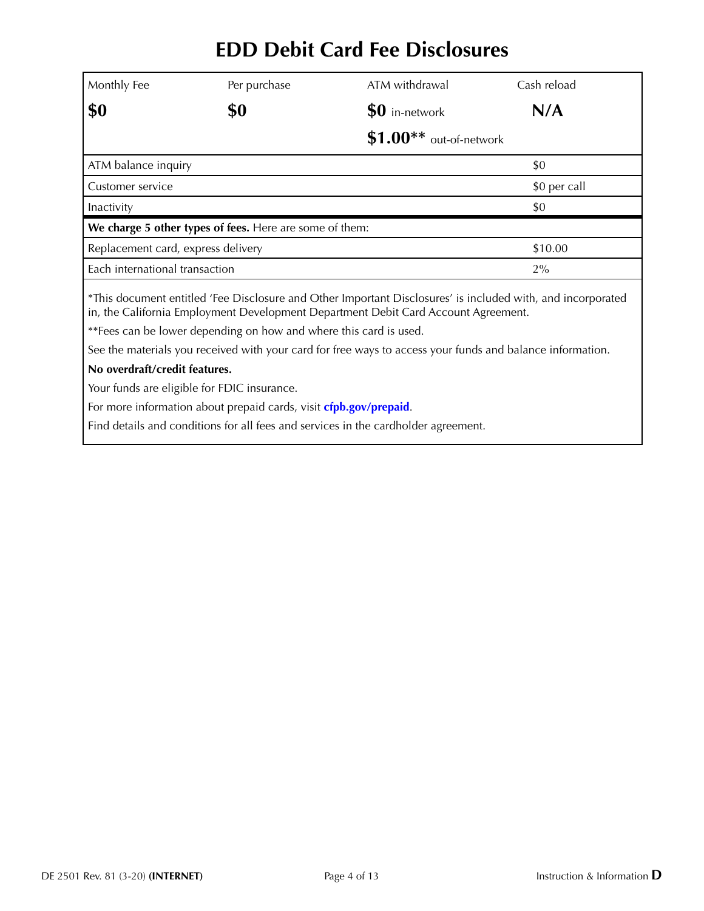# **EDD Debit Card Fee Disclosures**

| Monthly Fee                        | Per purchase                                            | ATM withdrawal                                                                                                                                                                                                                 | Cash reload  |
|------------------------------------|---------------------------------------------------------|--------------------------------------------------------------------------------------------------------------------------------------------------------------------------------------------------------------------------------|--------------|
| \$0                                | \$0                                                     | <b>\$0</b> in-network                                                                                                                                                                                                          | N/A          |
|                                    |                                                         | $$1.00**$ out-of-network                                                                                                                                                                                                       |              |
| ATM balance inquiry                |                                                         |                                                                                                                                                                                                                                | \$0          |
| Customer service                   |                                                         |                                                                                                                                                                                                                                | \$0 per call |
| Inactivity                         |                                                         |                                                                                                                                                                                                                                | \$0          |
|                                    | We charge 5 other types of fees. Here are some of them: |                                                                                                                                                                                                                                |              |
| Replacement card, express delivery |                                                         |                                                                                                                                                                                                                                | \$10.00      |
| Each international transaction     |                                                         |                                                                                                                                                                                                                                | 2%           |
| .                                  |                                                         | المنافذة والمستقرق والمنافس والمستقرق والمستقرق والمستقرق والمستقرق والمستقرق والمستقرق والمتعارض والمستقرق والمتعارف والمتعارف والمتعارف والمتعارف والمتعارف والمتعارف والمتعارف والمتعارف والمتعارف والمتعارف والمتعارف والم |              |

\*This document entitled 'Fee Disclosure and Other Important Disclosures' is included with, and incorporated in, the California Employment Development Department Debit Card Account Agreement.

\*\*Fees can be lower depending on how and where this card is used.

See the materials you received with your card for free ways to access your funds and balance information.

### **No overdraft/credit features.**

Your funds are eligible for FDIC insurance.

For more information about prepaid cards, visit **[cfpb.gov/prepaid](http://cfpb.gov/prepaid)**.

Find details and conditions for all fees and services in the cardholder agreement.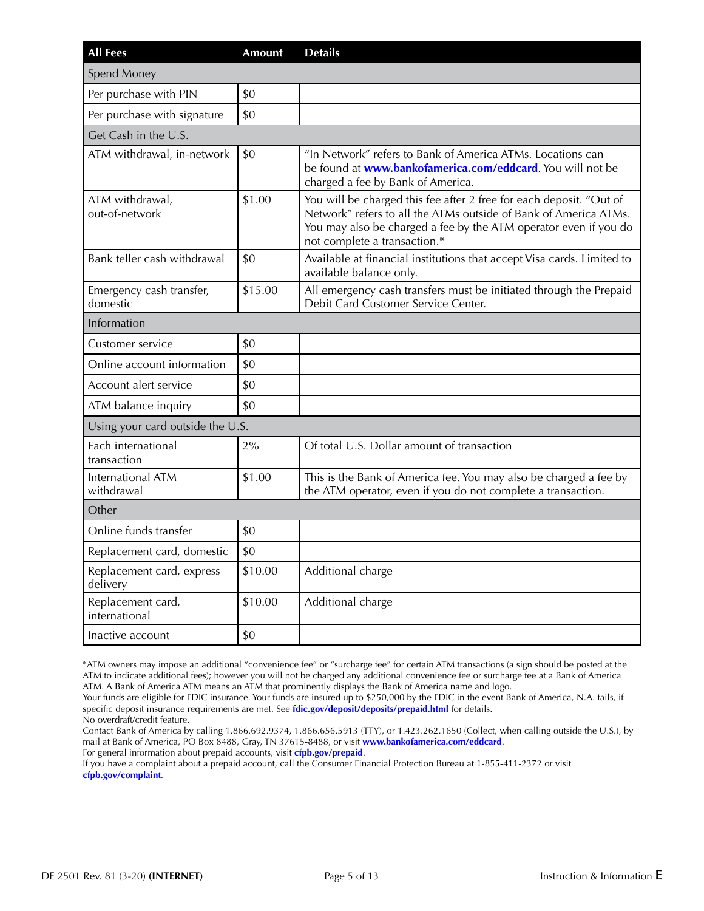| <b>All Fees</b>                       | <b>Amount</b> | <b>Details</b>                                                                                                                                                                                                                              |
|---------------------------------------|---------------|---------------------------------------------------------------------------------------------------------------------------------------------------------------------------------------------------------------------------------------------|
| Spend Money                           |               |                                                                                                                                                                                                                                             |
| Per purchase with PIN                 | \$0           |                                                                                                                                                                                                                                             |
| Per purchase with signature           | \$0           |                                                                                                                                                                                                                                             |
| Get Cash in the U.S.                  |               |                                                                                                                                                                                                                                             |
| ATM withdrawal, in-network            | \$0           | "In Network" refers to Bank of America ATMs. Locations can<br>be found at www.bankofamerica.com/eddcard. You will not be<br>charged a fee by Bank of America.                                                                               |
| ATM withdrawal,<br>out-of-network     | \$1.00        | You will be charged this fee after 2 free for each deposit. "Out of<br>Network" refers to all the ATMs outside of Bank of America ATMs.<br>You may also be charged a fee by the ATM operator even if you do<br>not complete a transaction.* |
| Bank teller cash withdrawal           | \$0           | Available at financial institutions that accept Visa cards. Limited to<br>available balance only.                                                                                                                                           |
| Emergency cash transfer,<br>domestic  | \$15.00       | All emergency cash transfers must be initiated through the Prepaid<br>Debit Card Customer Service Center.                                                                                                                                   |
| Information                           |               |                                                                                                                                                                                                                                             |
| Customer service                      | \$0           |                                                                                                                                                                                                                                             |
| Online account information            | \$0           |                                                                                                                                                                                                                                             |
| Account alert service                 | \$0           |                                                                                                                                                                                                                                             |
| ATM balance inquiry                   | \$0           |                                                                                                                                                                                                                                             |
| Using your card outside the U.S.      |               |                                                                                                                                                                                                                                             |
| Each international<br>transaction     | 2%            | Of total U.S. Dollar amount of transaction                                                                                                                                                                                                  |
| International ATM<br>withdrawal       | \$1.00        | This is the Bank of America fee. You may also be charged a fee by<br>the ATM operator, even if you do not complete a transaction.                                                                                                           |
| Other                                 |               |                                                                                                                                                                                                                                             |
| Online funds transfer                 | \$0           |                                                                                                                                                                                                                                             |
| Replacement card, domestic            | \$0           |                                                                                                                                                                                                                                             |
| Replacement card, express<br>delivery | \$10.00       | Additional charge                                                                                                                                                                                                                           |
| Replacement card,<br>international    | \$10.00       | Additional charge                                                                                                                                                                                                                           |
| Inactive account                      | \$0           |                                                                                                                                                                                                                                             |

\*ATM owners may impose an additional "convenience fee" or "surcharge fee" for certain ATM transactions (a sign should be posted at the ATM to indicate additional fees); however you will not be charged any additional convenience fee or surcharge fee at a Bank of America ATM. A Bank of America ATM means an ATM that prominently displays the Bank of America name and logo.

Your funds are eligible for FDIC insurance. Your funds are insured up to \$250,000 by the FDIC in the event Bank of America, N.A. fails, if specific deposit insurance requirements are met. See **[fdic.gov/deposit/deposits/prepaid.html](https://www.fdic.gov/deposit/deposits/prepaid.html)** for details.

For general information about prepaid accounts, visit **[cfpb.gov/prepaid](http://cfpb.gov/prepaid)**.

If you have a complaint about a prepaid account, call the Consumer Financial Protection Bureau at 1-855-411-2372 or visit **[cfpb.gov/complaint](http://cfpb.gov/complaint)***.*

No overdraft/credit feature.

Contact Bank of America by calling 1.866.692.9374, 1.866.656.5913 (TTY), or 1.423.262.1650 (Collect, when calling outside the U.S.), by mail at Bank of America, PO Box 8488, Gray, TN 37615-8488, or visit **[www.bankofamerica.com/eddcard](http://www.bankofamerica.com/eddcard)**.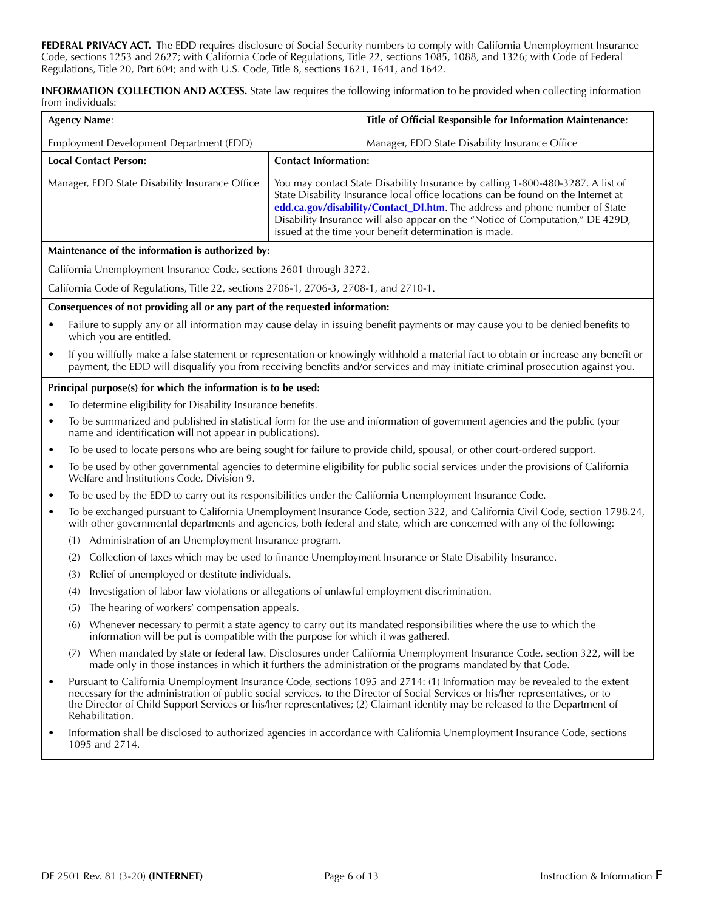**FEDERAL PRIVACY ACT.** The EDD requires disclosure of Social Security numbers to comply with California Unemployment Insurance Code, sections 1253 and 2627; with California Code of Regulations, Title 22, sections 1085, 1088, and 1326; with Code of Federal Regulations, Title 20, Part 604; and with U.S. Code, Title 8, sections 1621, 1641, and 1642.

**INFORMATION COLLECTION AND ACCESS.** State law requires the following information to be provided when collecting information from individuals:

|           | <b>Agency Name:</b>                                                                                                                                                                                                                                                     |                             | Title of Official Responsible for Information Maintenance:                                                                                                                                                                                                                                                                                                                                      |  |  |  |  |  |  |  |  |  |  |
|-----------|-------------------------------------------------------------------------------------------------------------------------------------------------------------------------------------------------------------------------------------------------------------------------|-----------------------------|-------------------------------------------------------------------------------------------------------------------------------------------------------------------------------------------------------------------------------------------------------------------------------------------------------------------------------------------------------------------------------------------------|--|--|--|--|--|--|--|--|--|--|
|           | Employment Development Department (EDD)                                                                                                                                                                                                                                 |                             | Manager, EDD State Disability Insurance Office                                                                                                                                                                                                                                                                                                                                                  |  |  |  |  |  |  |  |  |  |  |
|           | <b>Local Contact Person:</b>                                                                                                                                                                                                                                            | <b>Contact Information:</b> |                                                                                                                                                                                                                                                                                                                                                                                                 |  |  |  |  |  |  |  |  |  |  |
|           | Manager, EDD State Disability Insurance Office                                                                                                                                                                                                                          |                             | You may contact State Disability Insurance by calling 1-800-480-3287. A list of<br>State Disability Insurance local office locations can be found on the Internet at<br>edd.ca.gov/disability/Contact_DI.htm. The address and phone number of State<br>Disability Insurance will also appear on the "Notice of Computation," DE 429D,<br>issued at the time your benefit determination is made. |  |  |  |  |  |  |  |  |  |  |
|           | Maintenance of the information is authorized by:                                                                                                                                                                                                                        |                             |                                                                                                                                                                                                                                                                                                                                                                                                 |  |  |  |  |  |  |  |  |  |  |
|           | California Unemployment Insurance Code, sections 2601 through 3272.                                                                                                                                                                                                     |                             |                                                                                                                                                                                                                                                                                                                                                                                                 |  |  |  |  |  |  |  |  |  |  |
|           | California Code of Regulations, Title 22, sections 2706-1, 2706-3, 2708-1, and 2710-1.                                                                                                                                                                                  |                             |                                                                                                                                                                                                                                                                                                                                                                                                 |  |  |  |  |  |  |  |  |  |  |
|           | Consequences of not providing all or any part of the requested information:                                                                                                                                                                                             |                             |                                                                                                                                                                                                                                                                                                                                                                                                 |  |  |  |  |  |  |  |  |  |  |
|           | Failure to supply any or all information may cause delay in issuing benefit payments or may cause you to be denied benefits to<br>which you are entitled.                                                                                                               |                             |                                                                                                                                                                                                                                                                                                                                                                                                 |  |  |  |  |  |  |  |  |  |  |
| $\bullet$ | If you willfully make a false statement or representation or knowingly withhold a material fact to obtain or increase any benefit or<br>payment, the EDD will disqualify you from receiving benefits and/or services and may initiate criminal prosecution against you. |                             |                                                                                                                                                                                                                                                                                                                                                                                                 |  |  |  |  |  |  |  |  |  |  |
|           | Principal purpose(s) for which the information is to be used:                                                                                                                                                                                                           |                             |                                                                                                                                                                                                                                                                                                                                                                                                 |  |  |  |  |  |  |  |  |  |  |
| $\bullet$ | To determine eligibility for Disability Insurance benefits.                                                                                                                                                                                                             |                             |                                                                                                                                                                                                                                                                                                                                                                                                 |  |  |  |  |  |  |  |  |  |  |
| $\bullet$ | name and identification will not appear in publications).                                                                                                                                                                                                               |                             | To be summarized and published in statistical form for the use and information of government agencies and the public (your                                                                                                                                                                                                                                                                      |  |  |  |  |  |  |  |  |  |  |
| $\bullet$ |                                                                                                                                                                                                                                                                         |                             | To be used to locate persons who are being sought for failure to provide child, spousal, or other court-ordered support.                                                                                                                                                                                                                                                                        |  |  |  |  |  |  |  |  |  |  |
| $\bullet$ | Welfare and Institutions Code, Division 9.                                                                                                                                                                                                                              |                             | To be used by other governmental agencies to determine eligibility for public social services under the provisions of California                                                                                                                                                                                                                                                                |  |  |  |  |  |  |  |  |  |  |
| ٠         | To be used by the EDD to carry out its responsibilities under the California Unemployment Insurance Code.                                                                                                                                                               |                             |                                                                                                                                                                                                                                                                                                                                                                                                 |  |  |  |  |  |  |  |  |  |  |
| $\bullet$ |                                                                                                                                                                                                                                                                         |                             | To be exchanged pursuant to California Unemployment Insurance Code, section 322, and California Civil Code, section 1798.24,<br>with other governmental departments and agencies, both federal and state, which are concerned with any of the following:                                                                                                                                        |  |  |  |  |  |  |  |  |  |  |
|           | Administration of an Unemployment Insurance program.<br>(1)                                                                                                                                                                                                             |                             |                                                                                                                                                                                                                                                                                                                                                                                                 |  |  |  |  |  |  |  |  |  |  |
|           | (2)                                                                                                                                                                                                                                                                     |                             | Collection of taxes which may be used to finance Unemployment Insurance or State Disability Insurance.                                                                                                                                                                                                                                                                                          |  |  |  |  |  |  |  |  |  |  |
|           | Relief of unemployed or destitute individuals.<br>(3)                                                                                                                                                                                                                   |                             |                                                                                                                                                                                                                                                                                                                                                                                                 |  |  |  |  |  |  |  |  |  |  |
|           | Investigation of labor law violations or allegations of unlawful employment discrimination.<br>(4)                                                                                                                                                                      |                             |                                                                                                                                                                                                                                                                                                                                                                                                 |  |  |  |  |  |  |  |  |  |  |
|           | The hearing of workers' compensation appeals.<br>(5)                                                                                                                                                                                                                    |                             |                                                                                                                                                                                                                                                                                                                                                                                                 |  |  |  |  |  |  |  |  |  |  |
|           | information will be put is compatible with the purpose for which it was gathered.                                                                                                                                                                                       |                             | (6) Whenever necessary to permit a state agency to carry out its mandated responsibilities where the use to which the                                                                                                                                                                                                                                                                           |  |  |  |  |  |  |  |  |  |  |
|           |                                                                                                                                                                                                                                                                         |                             | (7) When mandated by state or federal law. Disclosures under California Unemployment Insurance Code, section 322, will be<br>made only in those instances in which it furthers the administration of the programs mandated by that Code.                                                                                                                                                        |  |  |  |  |  |  |  |  |  |  |
| $\bullet$ | Rehabilitation.                                                                                                                                                                                                                                                         |                             | Pursuant to California Unemployment Insurance Code, sections 1095 and 2714: (1) Information may be revealed to the extent<br>necessary for the administration of public social services, to the Director of Social Services or his/her representatives, or to<br>the Director of Child Support Services or his/her representatives; (2) Claimant identity may be released to the Department of  |  |  |  |  |  |  |  |  |  |  |
| $\bullet$ | 1095 and 2714.                                                                                                                                                                                                                                                          |                             | Information shall be disclosed to authorized agencies in accordance with California Unemployment Insurance Code, sections                                                                                                                                                                                                                                                                       |  |  |  |  |  |  |  |  |  |  |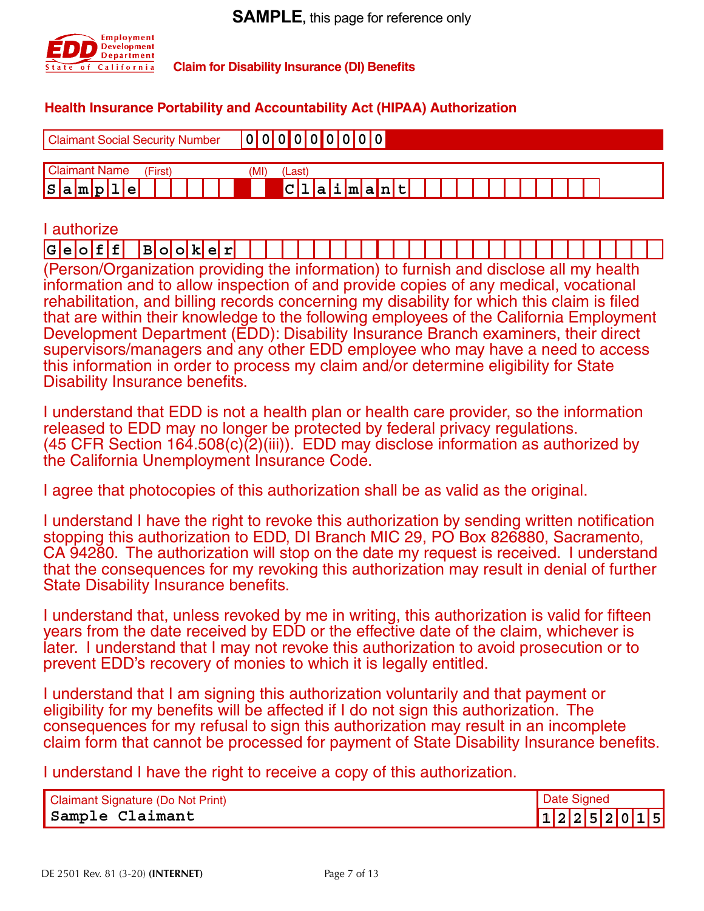

**Claim for Disability Insurance (DI) Benefits** 

## **Health Insurance Portability and Accountability Act (HIPAA) Authorization**

| <b>Claimant Social Security Number</b> | 00000000000                                                                                                  |
|----------------------------------------|--------------------------------------------------------------------------------------------------------------|
|                                        |                                                                                                              |
| <b>Claimant Name</b>                   | 'Last,                                                                                                       |
| (First                                 | (MI)                                                                                                         |
| S a m p 1                              | $\lfloor \ln  \mathsf{a}  \rfloor$ i $\lfloor \mathsf{m} \rfloor$ a $\lfloor \mathsf{n} \rfloor$ t $\lfloor$ |
| Te.                                    | 'Ч.                                                                                                          |

## I authorize

(Person/Organization providing the information) to furnish and disclose all my health information and to allow inspection of and provide copies of any medical, vocational rehabilitation, and billing records concerning my disability for which this claim is filed that are within their knowledge to the following employees of the California Employment Development Department (EDD): Disability Insurance Branch examiners, their direct supervisors/managers and any other EDD employee who may have a need to access this information in order to process my claim and/or determine eligibility for State Disability Insurance benefits.

I understand that EDD is not a health plan or health care provider, so the information released to EDD may no longer be protected by federal privacy regulations. (45 CFR Section  $164.508(c)(2)(iii)$ ). EDD may disclose information as authorized by the California Unemployment Insurance Code.

I agree that photocopies of this authorization shall be as valid as the original.

I understand I have the right to revoke this authorization by sending written notification stopping this authorization to EDD, DI Branch MIC 29, PO Box 826880, Sacramento, CA 94280. The authorization will stop on the date my request is received. I understand that the consequences for my revoking this authorization may result in denial of further State Disability Insurance benefits.

I understand that, unless revoked by me in writing, this authorization is valid for fifteen years from the date received by EDD or the effective date of the claim, whichever is later. I understand that I may not revoke this authorization to avoid prosecution or to prevent EDD's recovery of monies to which it is legally entitled.

I understand that I am signing this authorization voluntarily and that payment or eligibility for my benefits will be affected if I do not sign this authorization. The consequences for my refusal to sign this authorization may result in an incomplete claim form that cannot be processed for payment of State Disability Insurance benefits.

I understand I have the right to receive a copy of this authorization.

| Claimant Signature (Do Not Print) | Date Signed |  |  |           |
|-----------------------------------|-------------|--|--|-----------|
| Sample Claimant                   |             |  |  | 122520115 |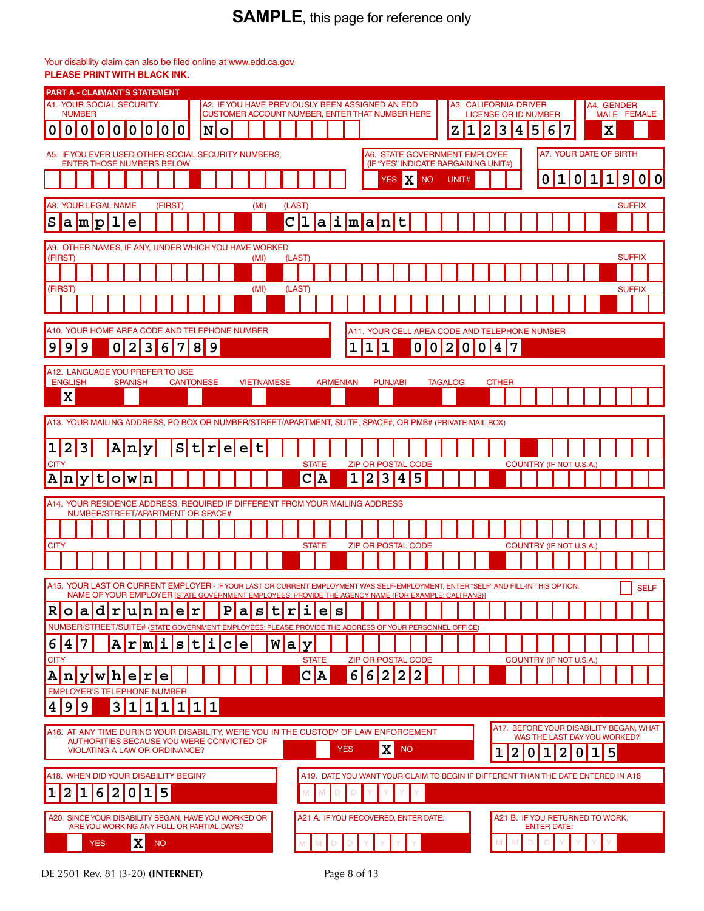## **SAMPLE,** this page for reference only

#### Your disability claim can also be filed online at [www.edd.ca.gov](http://www.edd.ca.gov) **PLEASE PRINT WITH BLACK INK.**

| <b>PART A - CLAIMANT'S STATEMENT</b>                                                                                                                                                                                                      |                     |                  |                                                                                                    |             |      |                   |                         |              |                 |   |             |   |                |                                                                                  |                |             |                |       |                                                      |              |              |   |              |                    |           |                                 |    |              |               |                                         |
|-------------------------------------------------------------------------------------------------------------------------------------------------------------------------------------------------------------------------------------------|---------------------|------------------|----------------------------------------------------------------------------------------------------|-------------|------|-------------------|-------------------------|--------------|-----------------|---|-------------|---|----------------|----------------------------------------------------------------------------------|----------------|-------------|----------------|-------|------------------------------------------------------|--------------|--------------|---|--------------|--------------------|-----------|---------------------------------|----|--------------|---------------|-----------------------------------------|
| <b>A1. YOUR SOCIAL SECURITY</b><br><b>NUMBER</b>                                                                                                                                                                                          |                     |                  | A2. IF YOU HAVE PREVIOUSLY BEEN ASSIGNED AN EDD<br>CUSTOMER ACCOUNT NUMBER, ENTER THAT NUMBER HERE |             |      |                   |                         |              |                 |   |             |   |                |                                                                                  |                |             |                |       | A3. CALIFORNIA DRIVER<br><b>LICENSE OR ID NUMBER</b> |              |              |   |              |                    |           |                                 |    | A4. GENDER   | MALE FEMALE   |                                         |
| 0000000<br>$\mathbf 0$<br>$\mathbf 0$<br> 0                                                                                                                                                                                               |                     |                  | N O                                                                                                |             |      |                   |                         |              |                 |   |             |   |                |                                                                                  |                |             | Z              | 1     | 2                                                    | 3            |              | 5 |              | 6                  | $\vert$ 7 |                                 |    | X            |               |                                         |
|                                                                                                                                                                                                                                           |                     |                  |                                                                                                    |             |      |                   |                         |              |                 |   |             |   |                |                                                                                  |                |             |                |       |                                                      |              | 4            |   |              |                    |           |                                 |    |              |               |                                         |
| A5. IF YOU EVER USED OTHER SOCIAL SECURITY NUMBERS,                                                                                                                                                                                       |                     |                  |                                                                                                    |             |      |                   |                         |              |                 |   |             |   |                | A6. STATE GOVERNMENT EMPLOYEE                                                    |                |             |                |       |                                                      |              |              |   |              |                    |           | A7. YOUR DATE OF BIRTH          |    |              |               |                                         |
| <b>ENTER THOSE NUMBERS BELOW</b>                                                                                                                                                                                                          |                     |                  |                                                                                                    |             |      |                   |                         |              |                 |   |             |   |                | (IF "YES" INDICATE BARGAINING UNIT#)                                             |                |             |                |       |                                                      |              |              |   |              |                    |           |                                 |    |              |               |                                         |
|                                                                                                                                                                                                                                           |                     |                  |                                                                                                    |             |      |                   |                         |              |                 |   |             |   | YES.           | $\bm{x}$                                                                         |                | <b>NO</b>   |                | UNIT# |                                                      |              |              |   | 0            |                    | 10        | 11                              |    | $\mathbf{T}$ | 9             | 0 0                                     |
| A8. YOUR LEGAL NAME                                                                                                                                                                                                                       | (FIRST)             |                  |                                                                                                    |             | (MI) |                   | (LAST)                  |              |                 |   |             |   |                |                                                                                  |                |             |                |       |                                                      |              |              |   |              |                    |           |                                 |    |              | <b>SUFFIX</b> |                                         |
| ı<br>S,<br>$\mathbf e$<br> a m p                                                                                                                                                                                                          |                     |                  |                                                                                                    |             |      |                   | $\overline{\mathsf{C}}$ | 1            |                 |   | alimant     |   |                |                                                                                  |                |             |                |       |                                                      |              |              |   |              |                    |           |                                 |    |              |               |                                         |
|                                                                                                                                                                                                                                           |                     |                  |                                                                                                    |             |      |                   |                         |              |                 |   |             |   |                |                                                                                  |                |             |                |       |                                                      |              |              |   |              |                    |           |                                 |    |              |               |                                         |
| A9. OTHER NAMES. IF ANY. UNDER WHICH YOU HAVE WORKED<br>(FIRST)                                                                                                                                                                           |                     |                  |                                                                                                    |             | (MI) |                   | (LAST)                  |              |                 |   |             |   |                |                                                                                  |                |             |                |       |                                                      |              |              |   |              |                    |           |                                 |    |              | <b>SUFFIX</b> |                                         |
|                                                                                                                                                                                                                                           |                     |                  |                                                                                                    |             |      |                   |                         |              |                 |   |             |   |                |                                                                                  |                |             |                |       |                                                      |              |              |   |              |                    |           |                                 |    |              |               |                                         |
| (FIRST)                                                                                                                                                                                                                                   |                     |                  |                                                                                                    |             | (MI) |                   | (LAST)                  |              |                 |   |             |   |                |                                                                                  |                |             |                |       |                                                      |              |              |   |              |                    |           |                                 |    |              | <b>SUFFIX</b> |                                         |
|                                                                                                                                                                                                                                           |                     |                  |                                                                                                    |             |      |                   |                         |              |                 |   |             |   |                |                                                                                  |                |             |                |       |                                                      |              |              |   |              |                    |           |                                 |    |              |               |                                         |
|                                                                                                                                                                                                                                           |                     |                  |                                                                                                    |             |      |                   |                         |              |                 |   |             |   |                |                                                                                  |                |             |                |       |                                                      |              |              |   |              |                    |           |                                 |    |              |               |                                         |
| A10. YOUR HOME AREA CODE AND TELEPHONE NUMBER                                                                                                                                                                                             |                     |                  |                                                                                                    |             |      |                   |                         |              |                 |   |             |   |                | A11. YOUR CELL AREA CODE AND TELEPHONE NUMBER                                    |                |             |                |       |                                                      |              |              |   |              |                    |           |                                 |    |              |               |                                         |
| 9<br>9<br>$\mathbf{2}$<br>$\vert 3 \vert$<br>9<br>0                                                                                                                                                                                       | 6<br>$\overline{7}$ | 8<br>9           |                                                                                                    |             |      |                   |                         |              |                 |   | $\vert$ 1   | 1 | $\mathbf{1}$   |                                                                                  | $\mathbf 0$    | $\mathbf 0$ | $\vert$ 2      | 0     |                                                      | 0 4          | 7            |   |              |                    |           |                                 |    |              |               |                                         |
| A12. LANGUAGE YOU PREFER TO USE                                                                                                                                                                                                           |                     |                  |                                                                                                    |             |      |                   |                         |              |                 |   |             |   |                |                                                                                  |                |             |                |       |                                                      |              |              |   |              |                    |           |                                 |    |              |               |                                         |
| <b>ENGLISH</b><br><b>SPANISH</b>                                                                                                                                                                                                          |                     | <b>CANTONESE</b> |                                                                                                    |             |      | <b>VIETNAMESE</b> |                         |              | <b>ARMENIAN</b> |   |             |   | <b>PUNJABI</b> |                                                                                  |                |             | <b>TAGALOG</b> |       |                                                      | <b>OTHER</b> |              |   |              |                    |           |                                 |    |              |               |                                         |
| $\mathbf X$                                                                                                                                                                                                                               |                     |                  |                                                                                                    |             |      |                   |                         |              |                 |   |             |   |                |                                                                                  |                |             |                |       |                                                      |              |              |   |              |                    |           |                                 |    |              |               |                                         |
|                                                                                                                                                                                                                                           |                     |                  |                                                                                                    |             |      |                   |                         |              |                 |   |             |   |                |                                                                                  |                |             |                |       |                                                      |              |              |   |              |                    |           |                                 |    |              |               |                                         |
| A13. YOUR MAILING ADDRESS, PO BOX OR NUMBER/STREET/APARTMENT, SUITE, SPACE#, OR PMB# (PRIVATE MAIL BOX)                                                                                                                                   |                     |                  |                                                                                                    |             |      |                   |                         |              |                 |   |             |   |                |                                                                                  |                |             |                |       |                                                      |              |              |   |              |                    |           |                                 |    |              |               |                                         |
| $\boldsymbol{2}$<br>3<br>1<br>A n<br>У                                                                                                                                                                                                    | S                   | t<br>r           | $\mathbf{e}$                                                                                       | $\mathbf e$ | t    |                   |                         |              |                 |   |             |   |                |                                                                                  |                |             |                |       |                                                      |              |              |   |              |                    |           |                                 |    |              |               |                                         |
| <b>CITY</b>                                                                                                                                                                                                                               |                     |                  |                                                                                                    |             |      |                   |                         | <b>STATE</b> |                 |   |             |   |                | <b>ZIP OR POSTAL CODE</b>                                                        |                |             |                |       |                                                      |              |              |   |              |                    |           | COUNTRY (IF NOT U.S.A.)         |    |              |               |                                         |
| Anly <br> t o w n                                                                                                                                                                                                                         |                     |                  |                                                                                                    |             |      |                   |                         | C            | A               |   | $\mathbf 1$ | 2 | 3              | 45                                                                               |                |             |                |       |                                                      |              |              |   |              |                    |           |                                 |    |              |               |                                         |
|                                                                                                                                                                                                                                           |                     |                  |                                                                                                    |             |      |                   |                         |              |                 |   |             |   |                |                                                                                  |                |             |                |       |                                                      |              |              |   |              |                    |           |                                 |    |              |               |                                         |
| A14. YOUR RESIDENCE ADDRESS, REQUIRED IF DIFFERENT FROM YOUR MAILING ADDRESS<br>NUMBER/STREET/APARTMENT OR SPACE#                                                                                                                         |                     |                  |                                                                                                    |             |      |                   |                         |              |                 |   |             |   |                |                                                                                  |                |             |                |       |                                                      |              |              |   |              |                    |           |                                 |    |              |               |                                         |
|                                                                                                                                                                                                                                           |                     |                  |                                                                                                    |             |      |                   |                         |              |                 |   |             |   |                |                                                                                  |                |             |                |       |                                                      |              |              |   |              |                    |           |                                 |    |              |               |                                         |
| <b>CITY</b>                                                                                                                                                                                                                               |                     |                  |                                                                                                    |             |      |                   |                         | <b>STATE</b> |                 |   |             |   |                | <b>ZIP OR POSTAL CODE</b>                                                        |                |             |                |       |                                                      |              |              |   |              |                    |           | COUNTRY (IF NOT U.S.A.)         |    |              |               |                                         |
|                                                                                                                                                                                                                                           |                     |                  |                                                                                                    |             |      |                   |                         |              |                 |   |             |   |                |                                                                                  |                |             |                |       |                                                      |              |              |   |              |                    |           |                                 |    |              |               |                                         |
|                                                                                                                                                                                                                                           |                     |                  |                                                                                                    |             |      |                   |                         |              |                 |   |             |   |                |                                                                                  |                |             |                |       |                                                      |              |              |   |              |                    |           |                                 |    |              |               |                                         |
| A15. YOUR LAST OR CURRENT EMPLOYER - IF YOUR LAST OR CURRENT EMPLOYMENT WAS SELF-EMPLOYMENT, ENTER "SELF" AND FILL-IN THIS OPTION.<br>NAME OF YOUR EMPLOYER [STATE GOVERNMENT EMPLOYEES: PROVIDE THE AGENCY NAME (FOR EXAMPLE: CALTRANS)] |                     |                  |                                                                                                    |             |      |                   |                         |              |                 |   |             |   |                |                                                                                  |                |             |                |       |                                                      |              |              |   |              |                    |           |                                 |    |              |               | <b>SELF</b>                             |
| Roadrunner                                                                                                                                                                                                                                |                     |                  | ${\bf P}$                                                                                          | a           | S    | t                 | r                       | i            | e               | S |             |   |                |                                                                                  |                |             |                |       |                                                      |              |              |   |              |                    |           |                                 |    |              |               |                                         |
| NUMBER/STREET/SUITE# (STATE GOVERNMENT EMPLOYEES: PLEASE PROVIDE THE ADDRESS OF YOUR PERSONNEL OFFICE)                                                                                                                                    |                     |                  |                                                                                                    |             |      |                   |                         |              |                 |   |             |   |                |                                                                                  |                |             |                |       |                                                      |              |              |   |              |                    |           |                                 |    |              |               |                                         |
| A r m i<br> 7 <br>6<br>4                                                                                                                                                                                                                  | $s$  t              | i                | $\mathbf C$                                                                                        | e           |      | W a               |                         | y            |                 |   |             |   |                |                                                                                  |                |             |                |       |                                                      |              |              |   |              |                    |           |                                 |    |              |               |                                         |
| <b>CITY</b>                                                                                                                                                                                                                               |                     |                  |                                                                                                    |             |      |                   |                         | <b>STATE</b> |                 |   |             |   |                | <b>ZIP OR POSTAL CODE</b>                                                        |                |             |                |       |                                                      |              |              |   |              |                    |           | COUNTRY (IF NOT U.S.A.)         |    |              |               |                                         |
| y w h e r e<br>${\bf A}$<br>וניו                                                                                                                                                                                                          |                     |                  |                                                                                                    |             |      |                   |                         |              | C A             |   | 6           | 6 | 2              | $\overline{2}$                                                                   | $\overline{2}$ |             |                |       |                                                      |              |              |   |              |                    |           |                                 |    |              |               |                                         |
| <b>EMPLOYER'S TELEPHONE NUMBER</b>                                                                                                                                                                                                        |                     |                  |                                                                                                    |             |      |                   |                         |              |                 |   |             |   |                |                                                                                  |                |             |                |       |                                                      |              |              |   |              |                    |           |                                 |    |              |               |                                         |
| 3 1 1 1 1 1 1<br>9<br>9<br>4                                                                                                                                                                                                              |                     |                  |                                                                                                    |             |      |                   |                         |              |                 |   |             |   |                |                                                                                  |                |             |                |       |                                                      |              |              |   |              |                    |           |                                 |    |              |               |                                         |
|                                                                                                                                                                                                                                           |                     |                  |                                                                                                    |             |      |                   |                         |              |                 |   |             |   |                |                                                                                  |                |             |                |       |                                                      |              |              |   |              |                    |           |                                 |    |              |               | A17. BEFORE YOUR DISABILITY BEGAN, WHAT |
| A16. AT ANY TIME DURING YOUR DISABILITY, WERE YOU IN THE CUSTODY OF LAW ENFORCEMENT<br>AUTHORITIES BECAUSE YOU WERE CONVICTED OF                                                                                                          |                     |                  |                                                                                                    |             |      |                   |                         |              |                 |   |             |   |                |                                                                                  |                |             |                |       |                                                      |              |              |   |              |                    |           | WAS THE LAST DAY YOU WORKED?    |    |              |               |                                         |
| <b>VIOLATING A LAW OR ORDINANCE?</b>                                                                                                                                                                                                      |                     |                  |                                                                                                    |             |      |                   |                         |              |                 |   | <b>YES</b>  |   | $\mathbf X$    | <b>NO</b>                                                                        |                |             |                |       |                                                      | M            | $\mathbf{p}$ | 0 | $\mathbf{p}$ |                    | 20        |                                 | 15 |              |               |                                         |
| A18. WHEN DID YOUR DISABILITY BEGIN?                                                                                                                                                                                                      |                     |                  |                                                                                                    |             |      |                   |                         |              |                 |   |             |   |                | A19. DATE YOU WANT YOUR CLAIM TO BEGIN IF DIFFERENT THAN THE DATE ENTERED IN A18 |                |             |                |       |                                                      |              |              |   |              |                    |           |                                 |    |              |               |                                         |
| (6)<br>$\boldsymbol{2}$<br> Y <br>$\mathbf{D}$<br>$\boldsymbol{0}$                                                                                                                                                                        | 5                   |                  |                                                                                                    |             |      |                   |                         |              |                 |   |             |   |                |                                                                                  |                |             |                |       |                                                      |              |              |   |              |                    |           |                                 |    |              |               |                                         |
|                                                                                                                                                                                                                                           |                     |                  |                                                                                                    |             |      |                   |                         |              |                 |   |             |   |                |                                                                                  |                |             |                |       |                                                      |              |              |   |              |                    |           |                                 |    |              |               |                                         |
| A20. SINCE YOUR DISABILITY BEGAN, HAVE YOU WORKED OR                                                                                                                                                                                      |                     |                  |                                                                                                    |             |      |                   |                         |              |                 |   |             |   |                | A21 A. IF YOU RECOVERED, ENTER DATE:                                             |                |             |                |       |                                                      |              |              |   |              |                    |           | A21 B. IF YOU RETURNED TO WORK, |    |              |               |                                         |
| ARE YOU WORKING ANY FULL OR PARTIAL DAYS?                                                                                                                                                                                                 |                     |                  |                                                                                                    |             |      |                   |                         |              |                 |   |             |   |                |                                                                                  |                |             |                |       |                                                      |              |              |   |              | <b>ENTER DATE:</b> |           |                                 |    |              |               |                                         |
| $\mathbf{x}$<br><b>YES</b><br><b>NO</b>                                                                                                                                                                                                   |                     |                  |                                                                                                    |             |      |                   |                         |              |                 |   |             |   |                |                                                                                  |                |             |                |       |                                                      |              |              |   |              |                    |           |                                 |    |              |               |                                         |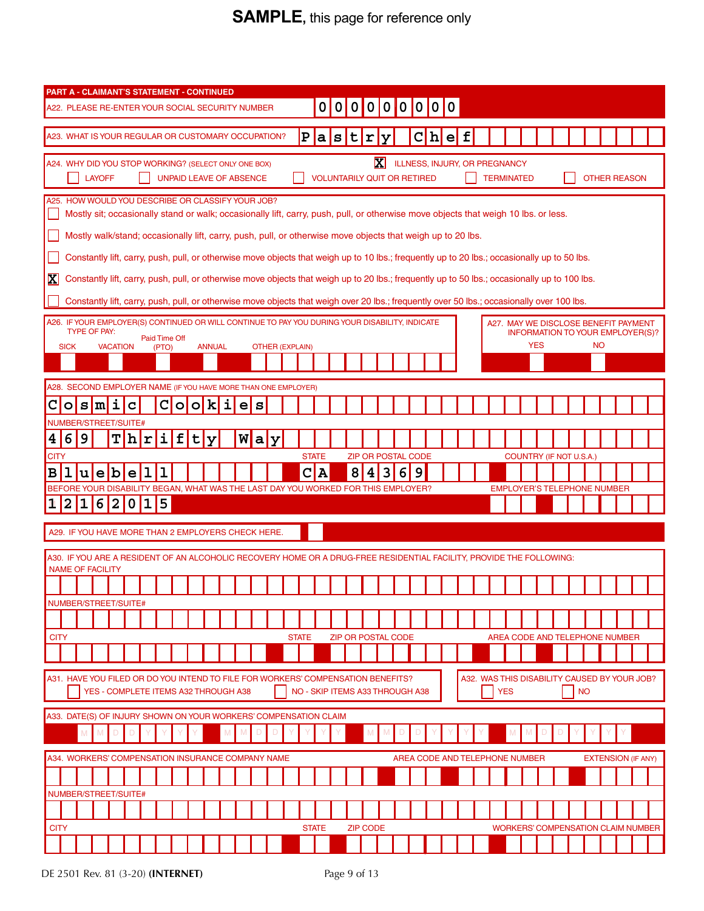# **SAMPLE,** this page for reference only

| PART A - CLAIMANT'S STATEMENT - CONTINUED<br>A22. PLEASE RE-ENTER YOUR SOCIAL SECURITY NUMBER                                                                                                                                                                                                      |               |                 |                                      |           |               |       |                                |   |              |              |                        |              |              |                 |                 | 0 0 0 0 0 0 0 0 0                         |                 |   |          |  |                                                    |            |            |                         |           |           |                                    |                                                                          |
|----------------------------------------------------------------------------------------------------------------------------------------------------------------------------------------------------------------------------------------------------------------------------------------------------|---------------|-----------------|--------------------------------------|-----------|---------------|-------|--------------------------------|---|--------------|--------------|------------------------|--------------|--------------|-----------------|-----------------|-------------------------------------------|-----------------|---|----------|--|----------------------------------------------------|------------|------------|-------------------------|-----------|-----------|------------------------------------|--------------------------------------------------------------------------|
| A23. WHAT IS YOUR REGULAR OR CUSTOMARY OCCUPATION?                                                                                                                                                                                                                                                 |               |                 |                                      |           |               |       |                                |   |              |              |                        |              |              |                 |                 | Pastry                                    |                 |   | C[h]e[f] |  |                                                    |            |            |                         |           |           |                                    |                                                                          |
| A24. WHY DID YOU STOP WORKING? (SELECT ONLY ONE BOX)                                                                                                                                                                                                                                               | <b>LAYOFF</b> |                 |                                      |           |               |       | <b>UNPAID LEAVE OF ABSENCE</b> |   |              |              |                        |              |              |                 |                 | IхI<br><b>VOLUNTARILY QUIT OR RETIRED</b> |                 |   |          |  | ILLNESS, INJURY, OR PREGNANCY<br><b>TERMINATED</b> |            |            |                         |           |           | <b>OTHER REASON</b>                |                                                                          |
| A25. HOW WOULD YOU DESCRIBE OR CLASSIFY YOUR JOB?<br>Mostly sit; occasionally stand or walk; occasionally lift, carry, push, pull, or otherwise move objects that weigh 10 lbs. or less.                                                                                                           |               |                 |                                      |           |               |       |                                |   |              |              |                        |              |              |                 |                 |                                           |                 |   |          |  |                                                    |            |            |                         |           |           |                                    |                                                                          |
| Mostly walk/stand; occasionally lift, carry, push, pull, or otherwise move objects that weigh up to 20 lbs.                                                                                                                                                                                        |               |                 |                                      |           |               |       |                                |   |              |              |                        |              |              |                 |                 |                                           |                 |   |          |  |                                                    |            |            |                         |           |           |                                    |                                                                          |
| Constantly lift, carry, push, pull, or otherwise move objects that weigh up to 10 lbs.; frequently up to 20 lbs.; occasionally up to 50 lbs.<br>冈<br>Constantly lift, carry, push, pull, or otherwise move objects that weigh up to 20 lbs.; frequently up to 50 lbs.; occasionally up to 100 lbs. |               |                 |                                      |           |               |       |                                |   |              |              |                        |              |              |                 |                 |                                           |                 |   |          |  |                                                    |            |            |                         |           |           |                                    |                                                                          |
| Constantly lift, carry, push, pull, or otherwise move objects that weigh over 20 lbs.; frequently over 50 lbs.; occasionally over 100 lbs.                                                                                                                                                         |               |                 |                                      |           |               |       |                                |   |              |              |                        |              |              |                 |                 |                                           |                 |   |          |  |                                                    |            |            |                         |           |           |                                    |                                                                          |
| A26. IF YOUR EMPLOYER(S) CONTINUED OR WILL CONTINUE TO PAY YOU DURING YOUR DISABILITY, INDICATE<br>TYPE OF PAY:                                                                                                                                                                                    |               |                 |                                      |           | Paid Time Off |       |                                |   |              |              |                        |              |              |                 |                 |                                           |                 |   |          |  |                                                    |            |            |                         |           |           |                                    | A27. MAY WE DISCLOSE BENEFIT PAYMENT<br>INFORMATION TO YOUR EMPLOYER(S)? |
| <b>SICK</b>                                                                                                                                                                                                                                                                                        |               | <b>VACATION</b> |                                      | (PTO)     |               |       | <b>ANNUAL</b>                  |   |              |              | <b>OTHER (EXPLAIN)</b> |              |              |                 |                 |                                           |                 |   |          |  |                                                    |            | <b>YES</b> |                         |           | <b>NO</b> |                                    |                                                                          |
| A28. SECOND EMPLOYER NAME (IF YOU HAVE MORE THAN ONE EMPLOYER)                                                                                                                                                                                                                                     |               |                 |                                      |           |               |       |                                |   |              |              |                        |              |              |                 |                 |                                           |                 |   |          |  |                                                    |            |            |                         |           |           |                                    |                                                                          |
| $\mathbf C$<br>$ \texttt{s} $ m $ \texttt{i} $ c<br>$\mathbf{o}$                                                                                                                                                                                                                                   |               |                 |                                      | C         |               | o o k |                                | i | $\mathbf{e}$ | $\mathbf{s}$ |                        |              |              |                 |                 |                                           |                 |   |          |  |                                                    |            |            |                         |           |           |                                    |                                                                          |
| NUMBER/STREET/SUITE#                                                                                                                                                                                                                                                                               |               |                 |                                      |           |               |       |                                |   |              |              |                        |              |              |                 |                 |                                           |                 |   |          |  |                                                    |            |            |                         |           |           |                                    |                                                                          |
| 6<br>9<br>4                                                                                                                                                                                                                                                                                        |               |                 | Thrifty                              |           |               |       |                                |   | W a y        |              |                        |              |              |                 |                 |                                           |                 |   |          |  |                                                    |            |            |                         |           |           |                                    |                                                                          |
| <b>CITY</b>                                                                                                                                                                                                                                                                                        |               |                 |                                      |           |               |       |                                |   |              |              |                        |              | <b>STATE</b> |                 |                 | <b>ZIP OR POSTAL CODE</b>                 |                 |   |          |  |                                                    |            |            | COUNTRY (IF NOT U.S.A.) |           |           |                                    |                                                                          |
| uebel<br>ı<br>B                                                                                                                                                                                                                                                                                    |               |                 |                                      | $\vert$ 1 |               |       |                                |   |              |              |                        |              | C A          | 8 <sup>1</sup>  | $\vert 4 \vert$ | $\overline{3}$                            | $6\phantom{1}6$ | 9 |          |  |                                                    |            |            |                         |           |           |                                    |                                                                          |
| BEFORE YOUR DISABILITY BEGAN, WHAT WAS THE LAST DAY YOU WORKED FOR THIS EMPLOYER?<br>2 1 6 2 0 1 5                                                                                                                                                                                                 |               |                 |                                      |           |               |       |                                |   |              |              |                        |              |              |                 |                 |                                           |                 |   |          |  |                                                    |            |            |                         |           |           | <b>EMPLOYER'S TELEPHONE NUMBER</b> |                                                                          |
|                                                                                                                                                                                                                                                                                                    |               |                 |                                      |           |               |       |                                |   |              |              |                        |              |              |                 |                 |                                           |                 |   |          |  |                                                    |            |            |                         |           |           |                                    |                                                                          |
| A29. IF YOU HAVE MORE THAN 2 EMPLOYERS CHECK HERE.                                                                                                                                                                                                                                                 |               |                 |                                      |           |               |       |                                |   |              |              |                        |              |              |                 |                 |                                           |                 |   |          |  |                                                    |            |            |                         |           |           |                                    |                                                                          |
| A30. IF YOU ARE A RESIDENT OF AN ALCOHOLIC RECOVERY HOME OR A DRUG-FREE RESIDENTIAL FACILITY, PROVIDE THE FOLLOWING:                                                                                                                                                                               |               |                 |                                      |           |               |       |                                |   |              |              |                        |              |              |                 |                 |                                           |                 |   |          |  |                                                    |            |            |                         |           |           |                                    |                                                                          |
| <b>NAME OF FACILITY</b>                                                                                                                                                                                                                                                                            |               |                 |                                      |           |               |       |                                |   |              |              |                        |              |              |                 |                 |                                           |                 |   |          |  |                                                    |            |            |                         |           |           |                                    |                                                                          |
|                                                                                                                                                                                                                                                                                                    |               |                 |                                      |           |               |       |                                |   |              |              |                        |              |              |                 |                 |                                           |                 |   |          |  |                                                    |            |            |                         |           |           |                                    |                                                                          |
| NUMBER/STREET/SUITE#                                                                                                                                                                                                                                                                               |               |                 |                                      |           |               |       |                                |   |              |              |                        |              |              |                 |                 |                                           |                 |   |          |  |                                                    |            |            |                         |           |           |                                    |                                                                          |
|                                                                                                                                                                                                                                                                                                    |               |                 |                                      |           |               |       |                                |   |              |              |                        |              |              |                 |                 |                                           |                 |   |          |  |                                                    |            |            |                         |           |           |                                    |                                                                          |
| <b>CITY</b>                                                                                                                                                                                                                                                                                        |               |                 |                                      |           |               |       |                                |   |              |              |                        | <b>STATE</b> |              |                 |                 | <b>ZIP OR POSTAL CODE</b>                 |                 |   |          |  |                                                    |            |            |                         |           |           | AREA CODE AND TELEPHONE NUMBER     |                                                                          |
|                                                                                                                                                                                                                                                                                                    |               |                 |                                      |           |               |       |                                |   |              |              |                        |              |              |                 |                 |                                           |                 |   |          |  |                                                    |            |            |                         |           |           |                                    |                                                                          |
| A31. HAVE YOU FILED OR DO YOU INTEND TO FILE FOR WORKERS' COMPENSATION BENEFITS?                                                                                                                                                                                                                   |               |                 | YES - COMPLETE ITEMS A32 THROUGH A38 |           |               |       |                                |   |              |              |                        |              |              |                 |                 | NO - SKIP ITEMS A33 THROUGH A38           |                 |   |          |  |                                                    | <b>YES</b> |            |                         | <b>NO</b> |           |                                    | A32. WAS THIS DISABILITY CAUSED BY YOUR JOB?                             |
| A33. DATE(S) OF INJURY SHOWN ON YOUR WORKERS' COMPENSATION CLAIM                                                                                                                                                                                                                                   |               |                 |                                      |           |               |       |                                |   |              |              |                        |              |              |                 |                 |                                           |                 |   |          |  |                                                    |            |            |                         |           |           |                                    |                                                                          |
| M                                                                                                                                                                                                                                                                                                  |               |                 |                                      |           |               |       |                                |   |              |              |                        |              |              |                 |                 |                                           |                 |   |          |  |                                                    |            |            |                         |           |           |                                    |                                                                          |
| A34. WORKERS' COMPENSATION INSURANCE COMPANY NAME                                                                                                                                                                                                                                                  |               |                 |                                      |           |               |       |                                |   |              |              |                        |              |              |                 |                 |                                           |                 |   |          |  | AREA CODE AND TELEPHONE NUMBER                     |            |            |                         |           |           |                                    | <b>EXTENSION (IF ANY)</b>                                                |
|                                                                                                                                                                                                                                                                                                    |               |                 |                                      |           |               |       |                                |   |              |              |                        |              |              |                 |                 |                                           |                 |   |          |  |                                                    |            |            |                         |           |           |                                    |                                                                          |
| NUMBER/STREET/SUITE#                                                                                                                                                                                                                                                                               |               |                 |                                      |           |               |       |                                |   |              |              |                        |              |              |                 |                 |                                           |                 |   |          |  |                                                    |            |            |                         |           |           |                                    |                                                                          |
|                                                                                                                                                                                                                                                                                                    |               |                 |                                      |           |               |       |                                |   |              |              |                        |              |              |                 |                 |                                           |                 |   |          |  |                                                    |            |            |                         |           |           |                                    |                                                                          |
| <b>CITY</b>                                                                                                                                                                                                                                                                                        |               |                 |                                      |           |               |       |                                |   |              |              |                        |              | <b>STATE</b> | <b>ZIP CODE</b> |                 |                                           |                 |   |          |  |                                                    |            |            |                         |           |           |                                    | <b>WORKERS' COMPENSATION CLAIM NUMBER</b>                                |
|                                                                                                                                                                                                                                                                                                    |               |                 |                                      |           |               |       |                                |   |              |              |                        |              |              |                 |                 |                                           |                 |   |          |  |                                                    |            |            |                         |           |           |                                    |                                                                          |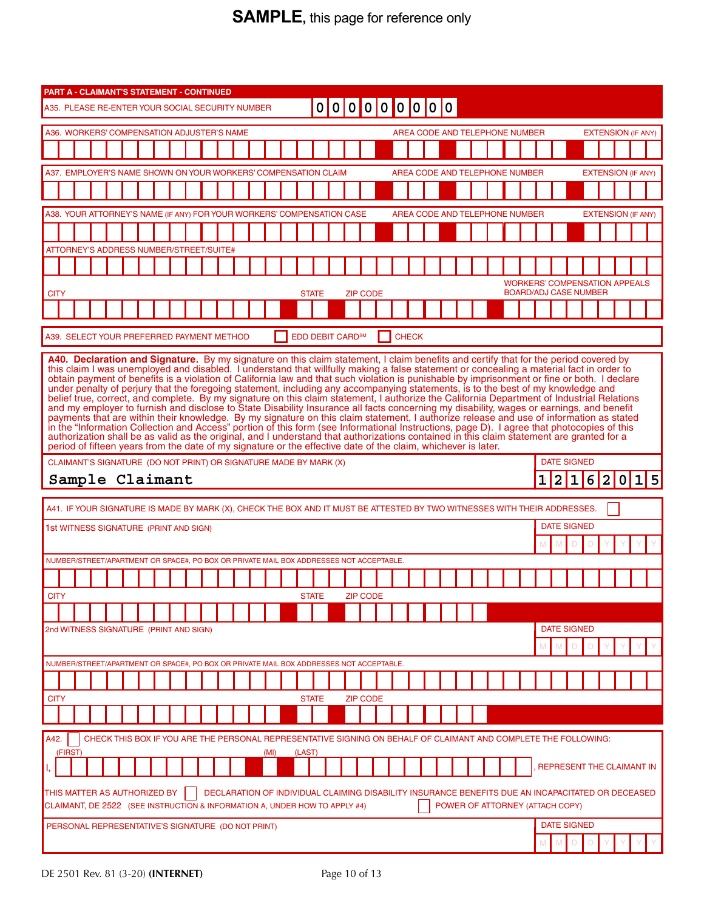| <b>PART A - CLAIMANT'S STATEMENT - CONTINUED</b>                                                           |         |                                                                                                                                                                                                                                                                                                                                                                                                                                                                                                                                                                                                                                                                                                                                                                                                                                                                                                                                                                                                                                                                                                                                                                                                                                                                                                                                                                       |  |  |  |  |  |  |      |                                    |              |  |                 |  |                                                                                                   |  |  |  |                                 |  |  |                                                                      |  |                           |                 |
|------------------------------------------------------------------------------------------------------------|---------|-----------------------------------------------------------------------------------------------------------------------------------------------------------------------------------------------------------------------------------------------------------------------------------------------------------------------------------------------------------------------------------------------------------------------------------------------------------------------------------------------------------------------------------------------------------------------------------------------------------------------------------------------------------------------------------------------------------------------------------------------------------------------------------------------------------------------------------------------------------------------------------------------------------------------------------------------------------------------------------------------------------------------------------------------------------------------------------------------------------------------------------------------------------------------------------------------------------------------------------------------------------------------------------------------------------------------------------------------------------------------|--|--|--|--|--|--|------|------------------------------------|--------------|--|-----------------|--|---------------------------------------------------------------------------------------------------|--|--|--|---------------------------------|--|--|----------------------------------------------------------------------|--|---------------------------|-----------------|
| A35. PLEASE RE-ENTER YOUR SOCIAL SECURITY NUMBER                                                           |         |                                                                                                                                                                                                                                                                                                                                                                                                                                                                                                                                                                                                                                                                                                                                                                                                                                                                                                                                                                                                                                                                                                                                                                                                                                                                                                                                                                       |  |  |  |  |  |  |      |                                    |              |  |                 |  | 0 0 0 0 0 0 0 0 0                                                                                 |  |  |  |                                 |  |  |                                                                      |  |                           |                 |
|                                                                                                            |         | A36. WORKERS' COMPENSATION ADJUSTER'S NAME                                                                                                                                                                                                                                                                                                                                                                                                                                                                                                                                                                                                                                                                                                                                                                                                                                                                                                                                                                                                                                                                                                                                                                                                                                                                                                                            |  |  |  |  |  |  |      |                                    |              |  |                 |  | AREA CODE AND TELEPHONE NUMBER                                                                    |  |  |  |                                 |  |  |                                                                      |  | <b>EXTENSION (IF ANY)</b> |                 |
|                                                                                                            |         |                                                                                                                                                                                                                                                                                                                                                                                                                                                                                                                                                                                                                                                                                                                                                                                                                                                                                                                                                                                                                                                                                                                                                                                                                                                                                                                                                                       |  |  |  |  |  |  |      |                                    |              |  |                 |  |                                                                                                   |  |  |  |                                 |  |  |                                                                      |  |                           |                 |
|                                                                                                            |         | A37. EMPLOYER'S NAME SHOWN ON YOUR WORKERS' COMPENSATION CLAIM                                                                                                                                                                                                                                                                                                                                                                                                                                                                                                                                                                                                                                                                                                                                                                                                                                                                                                                                                                                                                                                                                                                                                                                                                                                                                                        |  |  |  |  |  |  |      |                                    |              |  |                 |  | AREA CODE AND TELEPHONE NUMBER                                                                    |  |  |  |                                 |  |  |                                                                      |  | <b>EXTENSION (IF ANY)</b> |                 |
|                                                                                                            |         |                                                                                                                                                                                                                                                                                                                                                                                                                                                                                                                                                                                                                                                                                                                                                                                                                                                                                                                                                                                                                                                                                                                                                                                                                                                                                                                                                                       |  |  |  |  |  |  |      |                                    |              |  |                 |  |                                                                                                   |  |  |  |                                 |  |  |                                                                      |  |                           |                 |
| A38. YOUR ATTORNEY'S NAME (IF ANY) FOR YOUR WORKERS' COMPENSATION CASE                                     |         |                                                                                                                                                                                                                                                                                                                                                                                                                                                                                                                                                                                                                                                                                                                                                                                                                                                                                                                                                                                                                                                                                                                                                                                                                                                                                                                                                                       |  |  |  |  |  |  |      |                                    |              |  |                 |  | AREA CODE AND TELEPHONE NUMBER                                                                    |  |  |  |                                 |  |  |                                                                      |  | <b>EXTENSION (IF ANY)</b> |                 |
|                                                                                                            |         |                                                                                                                                                                                                                                                                                                                                                                                                                                                                                                                                                                                                                                                                                                                                                                                                                                                                                                                                                                                                                                                                                                                                                                                                                                                                                                                                                                       |  |  |  |  |  |  |      |                                    |              |  |                 |  |                                                                                                   |  |  |  |                                 |  |  |                                                                      |  |                           |                 |
|                                                                                                            |         | ATTORNEY'S ADDRESS NUMBER/STREET/SUITE#                                                                                                                                                                                                                                                                                                                                                                                                                                                                                                                                                                                                                                                                                                                                                                                                                                                                                                                                                                                                                                                                                                                                                                                                                                                                                                                               |  |  |  |  |  |  |      |                                    |              |  |                 |  |                                                                                                   |  |  |  |                                 |  |  |                                                                      |  |                           |                 |
|                                                                                                            |         |                                                                                                                                                                                                                                                                                                                                                                                                                                                                                                                                                                                                                                                                                                                                                                                                                                                                                                                                                                                                                                                                                                                                                                                                                                                                                                                                                                       |  |  |  |  |  |  |      |                                    |              |  |                 |  |                                                                                                   |  |  |  |                                 |  |  |                                                                      |  |                           |                 |
| <b>CITY</b>                                                                                                |         |                                                                                                                                                                                                                                                                                                                                                                                                                                                                                                                                                                                                                                                                                                                                                                                                                                                                                                                                                                                                                                                                                                                                                                                                                                                                                                                                                                       |  |  |  |  |  |  |      |                                    | <b>STATE</b> |  | <b>ZIP CODE</b> |  |                                                                                                   |  |  |  |                                 |  |  | <b>WORKERS' COMPENSATION APPEALS</b><br><b>BOARD/ADJ CASE NUMBER</b> |  |                           |                 |
|                                                                                                            |         |                                                                                                                                                                                                                                                                                                                                                                                                                                                                                                                                                                                                                                                                                                                                                                                                                                                                                                                                                                                                                                                                                                                                                                                                                                                                                                                                                                       |  |  |  |  |  |  |      |                                    |              |  |                 |  |                                                                                                   |  |  |  |                                 |  |  |                                                                      |  |                           |                 |
|                                                                                                            |         |                                                                                                                                                                                                                                                                                                                                                                                                                                                                                                                                                                                                                                                                                                                                                                                                                                                                                                                                                                                                                                                                                                                                                                                                                                                                                                                                                                       |  |  |  |  |  |  |      |                                    |              |  |                 |  |                                                                                                   |  |  |  |                                 |  |  |                                                                      |  |                           |                 |
|                                                                                                            |         | A39. SELECT YOUR PREFERRED PAYMENT METHOD                                                                                                                                                                                                                                                                                                                                                                                                                                                                                                                                                                                                                                                                                                                                                                                                                                                                                                                                                                                                                                                                                                                                                                                                                                                                                                                             |  |  |  |  |  |  |      | <b>EDD DEBIT CARD<sup>SM</sup></b> |              |  |                 |  | <b>CHECK</b>                                                                                      |  |  |  |                                 |  |  |                                                                      |  |                           |                 |
|                                                                                                            |         | this claim I was unemployed and disabled. I understand that willfully making a false statement or concealing a material fact in order to<br>obtain payment of benefits is a violation of California law and that such violation is punishable by imprisonment or fine or both. I declare<br>under penalty of perjury that the foregoing statement, including any accompanying statements, is to the best of my knowledge and<br>belief true, correct, and complete. By my signature on this claim statement, I authorize the California Department of Industrial Relations<br>and my employer to furnish and disclose to State Disability Insurance all facts concerning my disability, wages or earnings, and benefit<br>payments that are within their knowledge. By my signature on this claim statement, I authorize release and use of information as stated<br>in the "Information Collection and Access" portion of this form (see Informational Instructions, page D). I agree that photocopies of this<br>authorization shall be as valid as the original, and I understand that authorizations contained in this claim statement are granted for a<br>period of fifteen years from the date of my signature or the effective date of the claim, whichever is later.<br>CLAIMANT'S SIGNATURE (DO NOT PRINT) OR SIGNATURE MADE BY MARK (X)<br>Sample Claimant |  |  |  |  |  |  |      |                                    |              |  |                 |  |                                                                                                   |  |  |  |                                 |  |  | <b>DATE SIGNED</b>                                                   |  |                           | 1 2 1 6 2 0 1 5 |
|                                                                                                            |         |                                                                                                                                                                                                                                                                                                                                                                                                                                                                                                                                                                                                                                                                                                                                                                                                                                                                                                                                                                                                                                                                                                                                                                                                                                                                                                                                                                       |  |  |  |  |  |  |      |                                    |              |  |                 |  |                                                                                                   |  |  |  |                                 |  |  |                                                                      |  |                           |                 |
|                                                                                                            |         | A41. IF YOUR SIGNATURE IS MADE BY MARK (X), CHECK THE BOX AND IT MUST BE ATTESTED BY TWO WITNESSES WITH THEIR ADDRESSES.                                                                                                                                                                                                                                                                                                                                                                                                                                                                                                                                                                                                                                                                                                                                                                                                                                                                                                                                                                                                                                                                                                                                                                                                                                              |  |  |  |  |  |  |      |                                    |              |  |                 |  |                                                                                                   |  |  |  |                                 |  |  |                                                                      |  |                           |                 |
|                                                                                                            |         | 1st WITNESS SIGNATURE (PRINT AND SIGN)                                                                                                                                                                                                                                                                                                                                                                                                                                                                                                                                                                                                                                                                                                                                                                                                                                                                                                                                                                                                                                                                                                                                                                                                                                                                                                                                |  |  |  |  |  |  |      |                                    |              |  |                 |  |                                                                                                   |  |  |  |                                 |  |  | <b>DATE SIGNED</b>                                                   |  |                           |                 |
|                                                                                                            |         | NUMBER/STREET/APARTMENT OR SPACE#, PO BOX OR PRIVATE MAIL BOX ADDRESSES NOT ACCEPTABLE.                                                                                                                                                                                                                                                                                                                                                                                                                                                                                                                                                                                                                                                                                                                                                                                                                                                                                                                                                                                                                                                                                                                                                                                                                                                                               |  |  |  |  |  |  |      |                                    |              |  |                 |  |                                                                                                   |  |  |  |                                 |  |  |                                                                      |  |                           |                 |
|                                                                                                            |         |                                                                                                                                                                                                                                                                                                                                                                                                                                                                                                                                                                                                                                                                                                                                                                                                                                                                                                                                                                                                                                                                                                                                                                                                                                                                                                                                                                       |  |  |  |  |  |  |      |                                    |              |  |                 |  |                                                                                                   |  |  |  |                                 |  |  |                                                                      |  |                           |                 |
| <b>CITY</b>                                                                                                |         |                                                                                                                                                                                                                                                                                                                                                                                                                                                                                                                                                                                                                                                                                                                                                                                                                                                                                                                                                                                                                                                                                                                                                                                                                                                                                                                                                                       |  |  |  |  |  |  |      |                                    | <b>STATE</b> |  | <b>ZIP CODE</b> |  |                                                                                                   |  |  |  |                                 |  |  |                                                                      |  |                           |                 |
|                                                                                                            |         |                                                                                                                                                                                                                                                                                                                                                                                                                                                                                                                                                                                                                                                                                                                                                                                                                                                                                                                                                                                                                                                                                                                                                                                                                                                                                                                                                                       |  |  |  |  |  |  |      |                                    |              |  |                 |  |                                                                                                   |  |  |  |                                 |  |  |                                                                      |  |                           |                 |
| 2nd WITNESS SIGNATURE (PRINT AND SIGN)                                                                     |         |                                                                                                                                                                                                                                                                                                                                                                                                                                                                                                                                                                                                                                                                                                                                                                                                                                                                                                                                                                                                                                                                                                                                                                                                                                                                                                                                                                       |  |  |  |  |  |  |      |                                    |              |  |                 |  |                                                                                                   |  |  |  |                                 |  |  | <b>DATE SIGNED</b>                                                   |  |                           |                 |
|                                                                                                            |         |                                                                                                                                                                                                                                                                                                                                                                                                                                                                                                                                                                                                                                                                                                                                                                                                                                                                                                                                                                                                                                                                                                                                                                                                                                                                                                                                                                       |  |  |  |  |  |  |      |                                    |              |  |                 |  |                                                                                                   |  |  |  |                                 |  |  |                                                                      |  |                           |                 |
| NUMBER/STREET/APARTMENT OR SPACE#, PO BOX OR PRIVATE MAIL BOX ADDRESSES NOT ACCEPTABLE.                    |         |                                                                                                                                                                                                                                                                                                                                                                                                                                                                                                                                                                                                                                                                                                                                                                                                                                                                                                                                                                                                                                                                                                                                                                                                                                                                                                                                                                       |  |  |  |  |  |  |      |                                    |              |  |                 |  |                                                                                                   |  |  |  |                                 |  |  |                                                                      |  |                           |                 |
| <b>CITY</b>                                                                                                |         |                                                                                                                                                                                                                                                                                                                                                                                                                                                                                                                                                                                                                                                                                                                                                                                                                                                                                                                                                                                                                                                                                                                                                                                                                                                                                                                                                                       |  |  |  |  |  |  |      |                                    | <b>STATE</b> |  | <b>ZIP CODE</b> |  |                                                                                                   |  |  |  |                                 |  |  |                                                                      |  |                           |                 |
|                                                                                                            |         |                                                                                                                                                                                                                                                                                                                                                                                                                                                                                                                                                                                                                                                                                                                                                                                                                                                                                                                                                                                                                                                                                                                                                                                                                                                                                                                                                                       |  |  |  |  |  |  |      |                                    |              |  |                 |  |                                                                                                   |  |  |  |                                 |  |  |                                                                      |  |                           |                 |
| A42.                                                                                                       |         | CHECK THIS BOX IF YOU ARE THE PERSONAL REPRESENTATIVE SIGNING ON BEHALF OF CLAIMANT AND COMPLETE THE FOLLOWING:                                                                                                                                                                                                                                                                                                                                                                                                                                                                                                                                                                                                                                                                                                                                                                                                                                                                                                                                                                                                                                                                                                                                                                                                                                                       |  |  |  |  |  |  |      |                                    |              |  |                 |  |                                                                                                   |  |  |  |                                 |  |  |                                                                      |  |                           |                 |
|                                                                                                            | (FIRST) |                                                                                                                                                                                                                                                                                                                                                                                                                                                                                                                                                                                                                                                                                                                                                                                                                                                                                                                                                                                                                                                                                                                                                                                                                                                                                                                                                                       |  |  |  |  |  |  | (MI) | (LAST)                             |              |  |                 |  |                                                                                                   |  |  |  |                                 |  |  |                                                                      |  |                           |                 |
|                                                                                                            |         |                                                                                                                                                                                                                                                                                                                                                                                                                                                                                                                                                                                                                                                                                                                                                                                                                                                                                                                                                                                                                                                                                                                                                                                                                                                                                                                                                                       |  |  |  |  |  |  |      |                                    |              |  |                 |  |                                                                                                   |  |  |  |                                 |  |  | REPRESENT THE CLAIMANT IN                                            |  |                           |                 |
| THIS MATTER AS AUTHORIZED BY<br>CLAIMANT, DE 2522 (SEE INSTRUCTION & INFORMATION A, UNDER HOW TO APPLY #4) |         |                                                                                                                                                                                                                                                                                                                                                                                                                                                                                                                                                                                                                                                                                                                                                                                                                                                                                                                                                                                                                                                                                                                                                                                                                                                                                                                                                                       |  |  |  |  |  |  |      |                                    |              |  |                 |  | DECLARATION OF INDIVIDUAL CLAIMING DISABILITY INSURANCE BENEFITS DUE AN INCAPACITATED OR DECEASED |  |  |  | POWER OF ATTORNEY (ATTACH COPY) |  |  |                                                                      |  |                           |                 |
| PERSONAL REPRESENTATIVE'S SIGNATURE (DO NOT PRINT)                                                         |         |                                                                                                                                                                                                                                                                                                                                                                                                                                                                                                                                                                                                                                                                                                                                                                                                                                                                                                                                                                                                                                                                                                                                                                                                                                                                                                                                                                       |  |  |  |  |  |  |      |                                    |              |  |                 |  |                                                                                                   |  |  |  |                                 |  |  | <b>DATE SIGNED</b>                                                   |  |                           |                 |
|                                                                                                            |         |                                                                                                                                                                                                                                                                                                                                                                                                                                                                                                                                                                                                                                                                                                                                                                                                                                                                                                                                                                                                                                                                                                                                                                                                                                                                                                                                                                       |  |  |  |  |  |  |      |                                    |              |  |                 |  |                                                                                                   |  |  |  |                                 |  |  |                                                                      |  |                           |                 |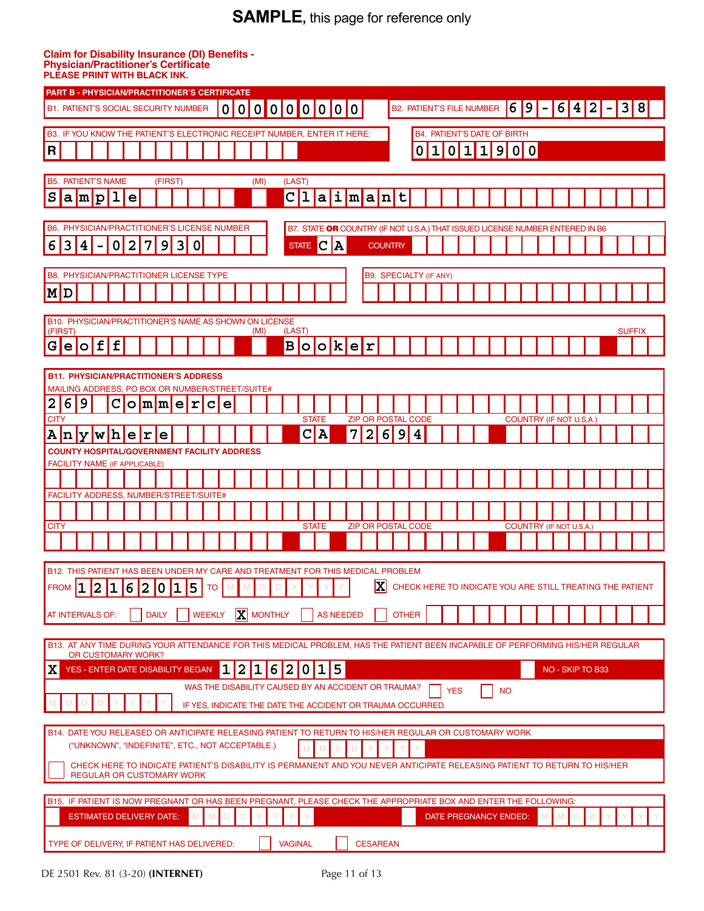## **SAMPLE,** this page for reference only

#### **Claim for Disability Insurance (DI) Benefits - Physician/Practitioner's Certificate PLEASE PRINT WITH BLACK INK.**

| <b>PART B - PHYSICIAN/PRACTITIONER'S CERTIFICATE</b>                                                                                                                                             |
|--------------------------------------------------------------------------------------------------------------------------------------------------------------------------------------------------|
| 0000000000<br>$ 9 -$<br>642-38<br>$\vert 6 \vert$<br><b>B2. PATIENT'S FILE NUMBER</b><br><b>B1. PATIENT'S SOCIAL SECURITY NUMBER</b>                                                             |
| <b>B4. PATIENT'S DATE OF BIRTH</b><br>B3. IF YOU KNOW THE PATIENT'S ELECTRONIC RECEIPT NUMBER, ENTER IT HERE:<br> 1 0 1 1 9 0 0 <br>R<br>$\boldsymbol{0}$                                        |
|                                                                                                                                                                                                  |
| <b>B5. PATIENT'S NAME</b><br>(FIRST)<br>(MI)<br>(LAST)                                                                                                                                           |
| C<br>1<br>$ i $ m<br>S<br>ı<br>t<br> a <br>a m <br> p<br>$\mathbf e$<br> a <br>n                                                                                                                 |
| <b>B6. PHYSICIAN/PRACTITIONER'S LICENSE NUMBER</b><br>B7. STATE OR COUNTRY (IF NOT U.S.A.) THAT ISSUED LICENSE NUMBER ENTERED IN B6                                                              |
| $\overline{\mathbf{3}}$<br>0 2<br>$\overline{\mathbf{3}}$<br> 7<br> 9 <br>$\boldsymbol{0}$<br>4 <sup>1</sup><br>STATE C A<br>6<br><b>COUNTRY</b>                                                 |
| <b>B8. PHYSICIAN/PRACTITIONER LICENSE TYPE</b><br><b>B9. SPECIALTY (IF ANY)</b>                                                                                                                  |
| M D                                                                                                                                                                                              |
|                                                                                                                                                                                                  |
| B10. PHYSICIAN/PRACTITIONER'S NAME AS SHOWN ON LICENSE<br>(FIRST)<br>(LAST)<br><b>SUFFIX</b><br>(MI)                                                                                             |
| G e o f f<br>ooker<br>B.                                                                                                                                                                         |
| <b>B11. PHYSICIAN/PRACTITIONER'S ADDRESS</b>                                                                                                                                                     |
| MAILING ADDRESS, PO BOX OR NUMBER/STREET/SUITE#<br>$\boldsymbol{2}$<br>6<br>9<br>C<br>$\mathbf C$<br>e<br>O<br>m                                                                                 |
| r<br> m <br>e<br><b>ZIP OR POSTAL CODE</b><br><b>STATE</b><br>COUNTRY (IF NOT U.S.A.)<br><b>CITY</b>                                                                                             |
| 6<br>$\overline{7}$<br>$\boldsymbol{2}$<br>A<br>$\overline{9}$<br>$\mathbf C$<br>$\overline{\mathbf{4}}$<br> w h e r<br>A<br>le<br>lУ<br>m                                                       |
| <b>COUNTY HOSPITAL/GOVERNMENT FACILITY ADDRESS</b><br><b>FACILITY NAME (IF APPLICABLE)</b>                                                                                                       |
|                                                                                                                                                                                                  |
| <b>FACILITY ADDRESS, NUMBER/STREET/SUITE#</b>                                                                                                                                                    |
| <b>CITY</b><br><b>STATE</b><br><b>ZIP OR POSTAL CODE</b><br>COUNTRY (IF NOT U.S.A.)                                                                                                              |
|                                                                                                                                                                                                  |
| B12. THIS PATIENT HAS BEEN UNDER MY CARE AND TREATMENT FOR THIS MEDICAL PROBLEM                                                                                                                  |
| $\vert \mathbf{x} \vert$<br>15<br>FROM $\sqrt{1}$<br> 2 <br>$\mathbf{D}$<br>6<br> 2 <br>$ 0\rangle$<br><b>I</b> Y<br>CHECK HERE TO INDICATE YOU ARE STILL TREATING THE PATIENT<br><b>TO</b><br>M |
| X MONTHLY<br><b>AS NEEDED</b><br><b>WEEKLY</b><br><b>OTHER</b><br>AT INTERVALS OF:<br><b>DAILY</b>                                                                                               |
|                                                                                                                                                                                                  |
| B13. AT ANY TIME DURING YOUR ATTENDANCE FOR THIS MEDICAL PROBLEM, HAS THE PATIENT BEEN INCAPABLE OF PERFORMING HIS/HER REGULAR<br>OR CUSTOMARY WORK?                                             |
| 12162015<br>X<br>YES - ENTER DATE DISABILITY BEGAN<br>NO - SKIP TO B33                                                                                                                           |
| WAS THE DISABILITY CAUSED BY AN ACCIDENT OR TRAUMA?<br><b>NO</b><br><b>YES</b>                                                                                                                   |
| IF YES, INDICATE THE DATE THE ACCIDENT OR TRAUMA OCCURRED.                                                                                                                                       |
| B14. DATE YOU RELEASED OR ANTICIPATE RELEASING PATIENT TO RETURN TO HIS/HER REGULAR OR CUSTOMARY WORK                                                                                            |
| ("UNKNOWN", "INDEFINITE", ETC., NOT ACCEPTABLE.)<br>CHECK HERE TO INDICATE PATIENT'S DISABILITY IS PERMANENT AND YOU NEVER ANTICIPATE RELEASING PATIENT TO RETURN TO HIS/HER                     |
| <b>REGULAR OR CUSTOMARY WORK</b>                                                                                                                                                                 |
| B15. IF PATIENT IS NOW PREGNANT OR HAS BEEN PREGNANT, PLEASE CHECK THE APPROPRIATE BOX AND ENTER THE FOLLOWING:                                                                                  |
| <b>ESTIMATED DELIVERY DATE:</b><br>DATE PREGNANCY ENDED:                                                                                                                                         |
| <b>CESAREAN</b><br><b>VAGINAL</b><br>TYPE OF DELIVERY, IF PATIENT HAS DELIVERED:                                                                                                                 |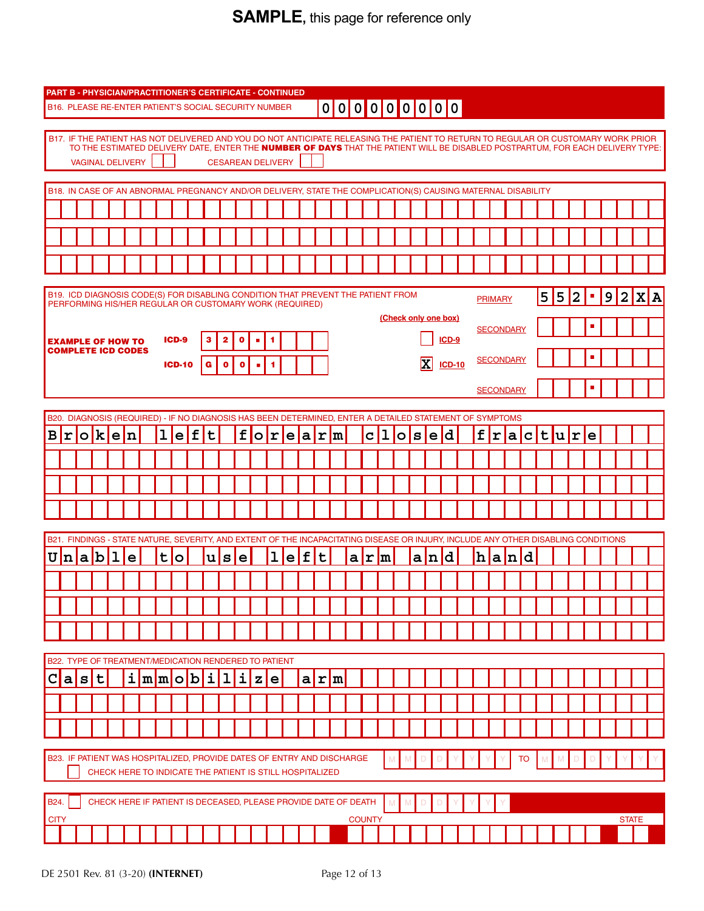|             |   |   |                                                       |   |    |             |               |     | <b>PART B - PHYSICIAN/PRACTITIONER'S CERTIFICATE - CONTINUED</b><br><b>B16. PLEASE RE-ENTER PATIENT'S SOCIAL SECURITY NUMBER</b>            |             |                          |           |             |  |             | 000000000     |     |                      |    |         |               |                |                  |    |                                                                                                                                    |  |                                                                                                                                                                                                                                                                      |  |
|-------------|---|---|-------------------------------------------------------|---|----|-------------|---------------|-----|---------------------------------------------------------------------------------------------------------------------------------------------|-------------|--------------------------|-----------|-------------|--|-------------|---------------|-----|----------------------|----|---------|---------------|----------------|------------------|----|------------------------------------------------------------------------------------------------------------------------------------|--|----------------------------------------------------------------------------------------------------------------------------------------------------------------------------------------------------------------------------------------------------------------------|--|
|             |   |   |                                                       |   |    |             |               |     |                                                                                                                                             |             |                          |           |             |  |             |               |     |                      |    |         |               |                |                  |    |                                                                                                                                    |  |                                                                                                                                                                                                                                                                      |  |
|             |   |   |                                                       |   |    |             |               |     |                                                                                                                                             |             |                          |           |             |  |             |               |     |                      |    |         |               |                |                  |    |                                                                                                                                    |  | B17. IF THE PATIENT HAS NOT DELIVERED AND YOU DO NOT ANTICIPATE RELEASING THE PATIENT TO RETURN TO REGULAR OR CUSTOMARY WORK PRIOR<br>TO THE ESTIMATED DELIVERY DATE. ENTER THE NUMBER OF DAYS THAT THE PATIENT WILL BE DISABLED POSTPARTUM. FOR EACH DELIVERY TYPE: |  |
|             |   |   | <b>VAGINAL DELIVERY</b>                               |   |    |             |               |     |                                                                                                                                             |             | <b>CESAREAN DELIVERY</b> |           |             |  |             |               |     |                      |    |         |               |                |                  |    |                                                                                                                                    |  |                                                                                                                                                                                                                                                                      |  |
|             |   |   |                                                       |   |    |             |               |     | B18. IN CASE OF AN ABNORMAL PREGNANCY AND/OR DELIVERY, STATE THE COMPLICATION(S) CAUSING MATERNAL DISABILITY                                |             |                          |           |             |  |             |               |     |                      |    |         |               |                |                  |    |                                                                                                                                    |  |                                                                                                                                                                                                                                                                      |  |
|             |   |   |                                                       |   |    |             |               |     |                                                                                                                                             |             |                          |           |             |  |             |               |     |                      |    |         |               |                |                  |    |                                                                                                                                    |  |                                                                                                                                                                                                                                                                      |  |
|             |   |   |                                                       |   |    |             |               |     |                                                                                                                                             |             |                          |           |             |  |             |               |     |                      |    |         |               |                |                  |    |                                                                                                                                    |  |                                                                                                                                                                                                                                                                      |  |
|             |   |   |                                                       |   |    |             |               |     |                                                                                                                                             |             |                          |           |             |  |             |               |     |                      |    |         |               |                |                  |    |                                                                                                                                    |  |                                                                                                                                                                                                                                                                      |  |
|             |   |   |                                                       |   |    |             |               |     |                                                                                                                                             |             |                          |           |             |  |             |               |     |                      |    |         |               |                |                  |    |                                                                                                                                    |  |                                                                                                                                                                                                                                                                      |  |
|             |   |   |                                                       |   |    |             |               |     | B19. ICD DIAGNOSIS CODE(S) FOR DISABLING CONDITION THAT PREVENT THE PATIENT FROM<br>PERFORMING HIS/HER REGULAR OR CUSTOMARY WORK (REQUIRED) |             |                          |           |             |  |             |               |     |                      |    |         |               | <b>PRIMARY</b> |                  |    |                                                                                                                                    |  | $5 5 2 $ - $9 2 X A$                                                                                                                                                                                                                                                 |  |
|             |   |   |                                                       |   |    |             |               |     |                                                                                                                                             |             |                          |           |             |  |             |               |     | (Check only one box) |    |         |               |                | <b>SECONDARY</b> |    |                                                                                                                                    |  |                                                                                                                                                                                                                                                                      |  |
|             |   |   | <b>EXAMPLE OF HOW TO</b><br><b>COMPLETE ICD CODES</b> |   |    |             | ICD-9         |     | з                                                                                                                                           | 2           | $\bullet$                | ٠         | 1           |  |             |               |     |                      |    |         | $ICD-9$       |                |                  |    |                                                                                                                                    |  |                                                                                                                                                                                                                                                                      |  |
|             |   |   |                                                       |   |    |             | <b>ICD-10</b> |     | G                                                                                                                                           | $\mathbf o$ | $\bullet$                | ٠         | 1           |  |             |               |     |                      | Ιx |         | <b>ICD-10</b> |                | <b>SECONDARY</b> |    |                                                                                                                                    |  |                                                                                                                                                                                                                                                                      |  |
|             |   |   |                                                       |   |    |             |               |     |                                                                                                                                             |             |                          |           |             |  |             |               |     |                      |    |         |               |                | <b>SECONDARY</b> |    |                                                                                                                                    |  |                                                                                                                                                                                                                                                                      |  |
|             |   |   |                                                       |   |    |             |               |     | B20. DIAGNOSIS (REQUIRED) - IF NO DIAGNOSIS HAS BEEN DETERMINED, ENTER A DETAILED STATEMENT OF SYMPTOMS                                     |             |                          |           |             |  |             |               |     |                      |    |         |               |                |                  |    |                                                                                                                                    |  |                                                                                                                                                                                                                                                                      |  |
| $\mathbf B$ |   |   | roken                                                 |   |    | ı           |               | e f | l t                                                                                                                                         |             | f                        |           |             |  | o r e a r m |               | c 1 |                      |    | o s e d |               | f r            | la.              |    | c t u r e                                                                                                                          |  |                                                                                                                                                                                                                                                                      |  |
|             |   |   |                                                       |   |    |             |               |     |                                                                                                                                             |             |                          |           |             |  |             |               |     |                      |    |         |               |                |                  |    |                                                                                                                                    |  |                                                                                                                                                                                                                                                                      |  |
|             |   |   |                                                       |   |    |             |               |     |                                                                                                                                             |             |                          |           |             |  |             |               |     |                      |    |         |               |                |                  |    |                                                                                                                                    |  |                                                                                                                                                                                                                                                                      |  |
|             |   |   |                                                       |   |    |             |               |     |                                                                                                                                             |             |                          |           |             |  |             |               |     |                      |    |         |               |                |                  |    |                                                                                                                                    |  |                                                                                                                                                                                                                                                                      |  |
|             |   |   |                                                       |   |    |             |               |     |                                                                                                                                             |             |                          |           |             |  |             |               |     |                      |    |         |               |                |                  |    |                                                                                                                                    |  |                                                                                                                                                                                                                                                                      |  |
|             |   |   |                                                       |   |    |             |               |     |                                                                                                                                             |             |                          |           |             |  |             |               |     |                      |    |         |               |                |                  |    | B21. FINDINGS - STATE NATURE, SEVERITY, AND EXTENT OF THE INCAPACITATING DISEASE OR INJURY, INCLUDE ANY OTHER DISABLING CONDITIONS |  |                                                                                                                                                                                                                                                                      |  |
|             |   |   | Unable                                                |   |    | $\mathsf t$ | $\bullet$     |     |                                                                                                                                             | u s         | le                       |           | ı           |  | e f t       | a r m         |     |                      |    | and     |               |                | hand             |    |                                                                                                                                    |  |                                                                                                                                                                                                                                                                      |  |
|             |   |   |                                                       |   |    |             |               |     |                                                                                                                                             |             |                          |           |             |  |             |               |     |                      |    |         |               |                |                  |    |                                                                                                                                    |  |                                                                                                                                                                                                                                                                      |  |
|             |   |   |                                                       |   |    |             |               |     |                                                                                                                                             |             |                          |           |             |  |             |               |     |                      |    |         |               |                |                  |    |                                                                                                                                    |  |                                                                                                                                                                                                                                                                      |  |
|             |   |   |                                                       |   |    |             |               |     |                                                                                                                                             |             |                          |           |             |  |             |               |     |                      |    |         |               |                |                  |    |                                                                                                                                    |  |                                                                                                                                                                                                                                                                      |  |
|             |   |   |                                                       |   |    |             |               |     | B22. TYPE OF TREATMENT/MEDICATION RENDERED TO PATIENT                                                                                       |             |                          |           |             |  |             |               |     |                      |    |         |               |                |                  |    |                                                                                                                                    |  |                                                                                                                                                                                                                                                                      |  |
| C           | a | S | t                                                     | i | mm |             | <b>O</b>      | b   | i                                                                                                                                           |             | i                        | ${\bf z}$ | $\mathbf e$ |  | a r m       |               |     |                      |    |         |               |                |                  |    |                                                                                                                                    |  |                                                                                                                                                                                                                                                                      |  |
|             |   |   |                                                       |   |    |             |               |     |                                                                                                                                             |             |                          |           |             |  |             |               |     |                      |    |         |               |                |                  |    |                                                                                                                                    |  |                                                                                                                                                                                                                                                                      |  |
|             |   |   |                                                       |   |    |             |               |     |                                                                                                                                             |             |                          |           |             |  |             |               |     |                      |    |         |               |                |                  |    |                                                                                                                                    |  |                                                                                                                                                                                                                                                                      |  |
|             |   |   |                                                       |   |    |             |               |     |                                                                                                                                             |             |                          |           |             |  |             |               |     |                      |    |         |               |                |                  |    |                                                                                                                                    |  |                                                                                                                                                                                                                                                                      |  |
|             |   |   |                                                       |   |    |             |               |     | B23. IF PATIENT WAS HOSPITALIZED, PROVIDE DATES OF ENTRY AND DISCHARGE                                                                      |             |                          |           |             |  |             |               |     |                      |    |         |               |                |                  | TO |                                                                                                                                    |  |                                                                                                                                                                                                                                                                      |  |
|             |   |   |                                                       |   |    |             |               |     | CHECK HERE TO INDICATE THE PATIENT IS STILL HOSPITALIZED                                                                                    |             |                          |           |             |  |             |               |     |                      |    |         |               |                |                  |    |                                                                                                                                    |  |                                                                                                                                                                                                                                                                      |  |
| B24.        |   |   |                                                       |   |    |             |               |     | CHECK HERE IF PATIENT IS DECEASED, PLEASE PROVIDE DATE OF DEATH                                                                             |             |                          |           |             |  |             |               |     |                      |    |         |               |                |                  |    |                                                                                                                                    |  |                                                                                                                                                                                                                                                                      |  |
| <b>CITY</b> |   |   |                                                       |   |    |             |               |     |                                                                                                                                             |             |                          |           |             |  |             | <b>COUNTY</b> |     |                      |    |         |               |                |                  |    |                                                                                                                                    |  | <b>STATE</b>                                                                                                                                                                                                                                                         |  |